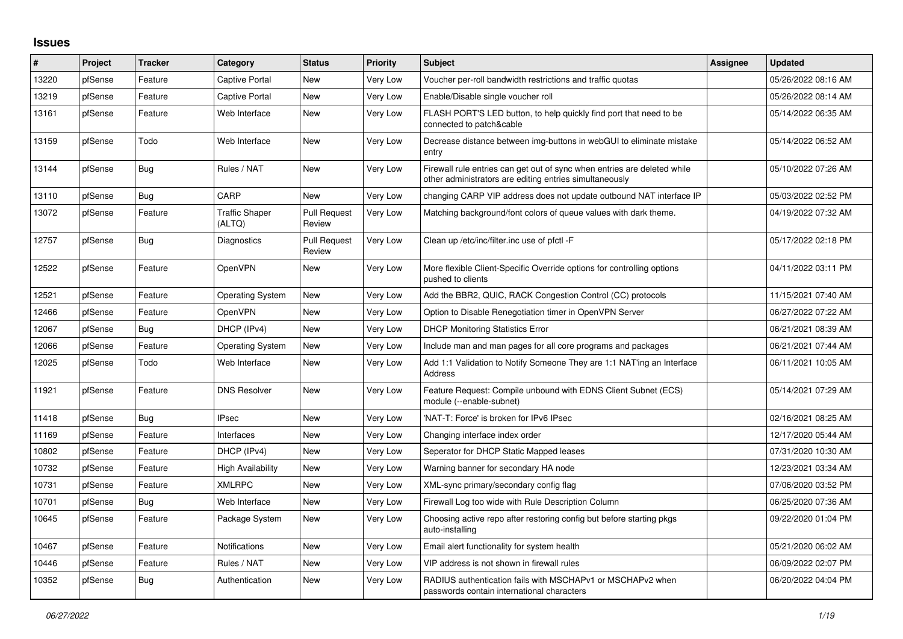## **Issues**

| #     | Project | <b>Tracker</b> | Category                        | <b>Status</b>                 | <b>Priority</b> | <b>Subject</b>                                                                                                                      | <b>Assignee</b> | <b>Updated</b>      |
|-------|---------|----------------|---------------------------------|-------------------------------|-----------------|-------------------------------------------------------------------------------------------------------------------------------------|-----------------|---------------------|
| 13220 | pfSense | Feature        | <b>Captive Portal</b>           | <b>New</b>                    | Very Low        | Voucher per-roll bandwidth restrictions and traffic quotas                                                                          |                 | 05/26/2022 08:16 AM |
| 13219 | pfSense | Feature        | Captive Portal                  | New                           | Very Low        | Enable/Disable single voucher roll                                                                                                  |                 | 05/26/2022 08:14 AM |
| 13161 | pfSense | Feature        | Web Interface                   | <b>New</b>                    | Very Low        | FLASH PORT'S LED button, to help quickly find port that need to be<br>connected to patch&cable                                      |                 | 05/14/2022 06:35 AM |
| 13159 | pfSense | Todo           | Web Interface                   | New                           | Very Low        | Decrease distance between img-buttons in webGUI to eliminate mistake<br>entry                                                       |                 | 05/14/2022 06:52 AM |
| 13144 | pfSense | <b>Bug</b>     | Rules / NAT                     | New                           | Very Low        | Firewall rule entries can get out of sync when entries are deleted while<br>other administrators are editing entries simultaneously |                 | 05/10/2022 07:26 AM |
| 13110 | pfSense | <b>Bug</b>     | CARP                            | <b>New</b>                    | Very Low        | changing CARP VIP address does not update outbound NAT interface IP                                                                 |                 | 05/03/2022 02:52 PM |
| 13072 | pfSense | Feature        | <b>Traffic Shaper</b><br>(ALTQ) | Pull Request<br>Review        | Very Low        | Matching background/font colors of queue values with dark theme.                                                                    |                 | 04/19/2022 07:32 AM |
| 12757 | pfSense | Bug            | <b>Diagnostics</b>              | <b>Pull Request</b><br>Review | Very Low        | Clean up /etc/inc/filter.inc use of pfctl -F                                                                                        |                 | 05/17/2022 02:18 PM |
| 12522 | pfSense | Feature        | OpenVPN                         | New                           | Very Low        | More flexible Client-Specific Override options for controlling options<br>pushed to clients                                         |                 | 04/11/2022 03:11 PM |
| 12521 | pfSense | Feature        | <b>Operating System</b>         | New                           | Very Low        | Add the BBR2, QUIC, RACK Congestion Control (CC) protocols                                                                          |                 | 11/15/2021 07:40 AM |
| 12466 | pfSense | Feature        | <b>OpenVPN</b>                  | New                           | Very Low        | Option to Disable Renegotiation timer in OpenVPN Server                                                                             |                 | 06/27/2022 07:22 AM |
| 12067 | pfSense | <b>Bug</b>     | DHCP (IPv4)                     | New                           | Very Low        | <b>DHCP Monitoring Statistics Error</b>                                                                                             |                 | 06/21/2021 08:39 AM |
| 12066 | pfSense | Feature        | <b>Operating System</b>         | New                           | Very Low        | Include man and man pages for all core programs and packages                                                                        |                 | 06/21/2021 07:44 AM |
| 12025 | pfSense | Todo           | Web Interface                   | <b>New</b>                    | Very Low        | Add 1:1 Validation to Notify Someone They are 1:1 NAT'ing an Interface<br>Address                                                   |                 | 06/11/2021 10:05 AM |
| 11921 | pfSense | Feature        | <b>DNS Resolver</b>             | New                           | Very Low        | Feature Request: Compile unbound with EDNS Client Subnet (ECS)<br>module (--enable-subnet)                                          |                 | 05/14/2021 07:29 AM |
| 11418 | pfSense | <b>Bug</b>     | <b>IPsec</b>                    | New                           | Very Low        | 'NAT-T: Force' is broken for IPv6 IPsec                                                                                             |                 | 02/16/2021 08:25 AM |
| 11169 | pfSense | Feature        | Interfaces                      | New                           | Very Low        | Changing interface index order                                                                                                      |                 | 12/17/2020 05:44 AM |
| 10802 | pfSense | Feature        | DHCP (IPv4)                     | New                           | Very Low        | Seperator for DHCP Static Mapped leases                                                                                             |                 | 07/31/2020 10:30 AM |
| 10732 | pfSense | Feature        | <b>High Availability</b>        | New                           | Very Low        | Warning banner for secondary HA node                                                                                                |                 | 12/23/2021 03:34 AM |
| 10731 | pfSense | Feature        | <b>XMLRPC</b>                   | <b>New</b>                    | Very Low        | XML-sync primary/secondary config flag                                                                                              |                 | 07/06/2020 03:52 PM |
| 10701 | pfSense | <b>Bug</b>     | Web Interface                   | New                           | Very Low        | Firewall Log too wide with Rule Description Column                                                                                  |                 | 06/25/2020 07:36 AM |
| 10645 | pfSense | Feature        | Package System                  | New                           | Very Low        | Choosing active repo after restoring config but before starting pkgs<br>auto-installing                                             |                 | 09/22/2020 01:04 PM |
| 10467 | pfSense | Feature        | <b>Notifications</b>            | New                           | Very Low        | Email alert functionality for system health                                                                                         |                 | 05/21/2020 06:02 AM |
| 10446 | pfSense | Feature        | Rules / NAT                     | New                           | Very Low        | VIP address is not shown in firewall rules                                                                                          |                 | 06/09/2022 02:07 PM |
| 10352 | pfSense | <b>Bug</b>     | Authentication                  | New                           | Very Low        | RADIUS authentication fails with MSCHAPv1 or MSCHAPv2 when<br>passwords contain international characters                            |                 | 06/20/2022 04:04 PM |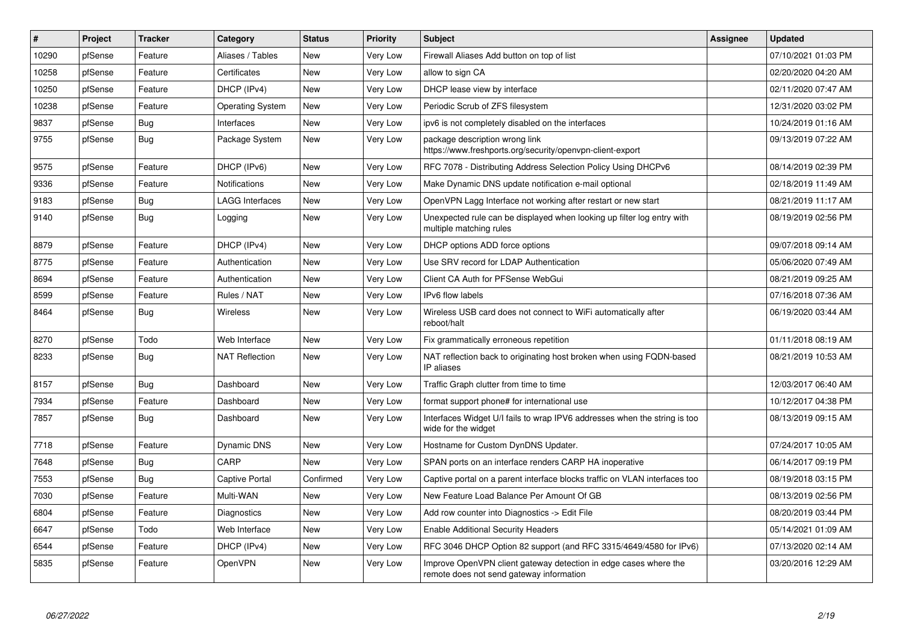| #     | Project | <b>Tracker</b> | Category              | <b>Status</b> | Priority | <b>Subject</b>                                                                                               | Assignee | <b>Updated</b>      |
|-------|---------|----------------|-----------------------|---------------|----------|--------------------------------------------------------------------------------------------------------------|----------|---------------------|
| 10290 | pfSense | Feature        | Aliases / Tables      | <b>New</b>    | Very Low | Firewall Aliases Add button on top of list                                                                   |          | 07/10/2021 01:03 PM |
| 10258 | pfSense | Feature        | Certificates          | <b>New</b>    | Very Low | allow to sign CA                                                                                             |          | 02/20/2020 04:20 AM |
| 10250 | pfSense | Feature        | DHCP (IPv4)           | <b>New</b>    | Very Low | DHCP lease view by interface                                                                                 |          | 02/11/2020 07:47 AM |
| 10238 | pfSense | Feature        | Operating System      | New           | Very Low | Periodic Scrub of ZFS filesystem                                                                             |          | 12/31/2020 03:02 PM |
| 9837  | pfSense | Bug            | Interfaces            | New           | Very Low | ipv6 is not completely disabled on the interfaces                                                            |          | 10/24/2019 01:16 AM |
| 9755  | pfSense | <b>Bug</b>     | Package System        | <b>New</b>    | Very Low | package description wrong link<br>https://www.freshports.org/security/openvpn-client-export                  |          | 09/13/2019 07:22 AM |
| 9575  | pfSense | Feature        | DHCP (IPv6)           | <b>New</b>    | Very Low | RFC 7078 - Distributing Address Selection Policy Using DHCPv6                                                |          | 08/14/2019 02:39 PM |
| 9336  | pfSense | Feature        | Notifications         | New           | Very Low | Make Dynamic DNS update notification e-mail optional                                                         |          | 02/18/2019 11:49 AM |
| 9183  | pfSense | Bug            | LAGG Interfaces       | New           | Very Low | OpenVPN Lagg Interface not working after restart or new start                                                |          | 08/21/2019 11:17 AM |
| 9140  | pfSense | <b>Bug</b>     | Logging               | New           | Very Low | Unexpected rule can be displayed when looking up filter log entry with<br>multiple matching rules            |          | 08/19/2019 02:56 PM |
| 8879  | pfSense | Feature        | DHCP (IPv4)           | New           | Very Low | DHCP options ADD force options                                                                               |          | 09/07/2018 09:14 AM |
| 8775  | pfSense | Feature        | Authentication        | New           | Very Low | Use SRV record for LDAP Authentication                                                                       |          | 05/06/2020 07:49 AM |
| 8694  | pfSense | Feature        | Authentication        | New           | Very Low | Client CA Auth for PFSense WebGui                                                                            |          | 08/21/2019 09:25 AM |
| 8599  | pfSense | Feature        | Rules / NAT           | New           | Very Low | IPv6 flow labels                                                                                             |          | 07/16/2018 07:36 AM |
| 8464  | pfSense | <b>Bug</b>     | <b>Wireless</b>       | New           | Very Low | Wireless USB card does not connect to WiFi automatically after<br>reboot/halt                                |          | 06/19/2020 03:44 AM |
| 8270  | pfSense | Todo           | Web Interface         | <b>New</b>    | Very Low | Fix grammatically erroneous repetition                                                                       |          | 01/11/2018 08:19 AM |
| 8233  | pfSense | Bug            | <b>NAT Reflection</b> | <b>New</b>    | Very Low | NAT reflection back to originating host broken when using FQDN-based<br>IP aliases                           |          | 08/21/2019 10:53 AM |
| 8157  | pfSense | Bug            | Dashboard             | <b>New</b>    | Very Low | Traffic Graph clutter from time to time                                                                      |          | 12/03/2017 06:40 AM |
| 7934  | pfSense | Feature        | Dashboard             | <b>New</b>    | Very Low | format support phone# for international use                                                                  |          | 10/12/2017 04:38 PM |
| 7857  | pfSense | <b>Bug</b>     | Dashboard             | New           | Very Low | Interfaces Widget U/I fails to wrap IPV6 addresses when the string is too<br>wide for the widget             |          | 08/13/2019 09:15 AM |
| 7718  | pfSense | Feature        | <b>Dynamic DNS</b>    | New           | Very Low | Hostname for Custom DynDNS Updater.                                                                          |          | 07/24/2017 10:05 AM |
| 7648  | pfSense | <b>Bug</b>     | CARP                  | <b>New</b>    | Very Low | SPAN ports on an interface renders CARP HA inoperative                                                       |          | 06/14/2017 09:19 PM |
| 7553  | pfSense | <b>Bug</b>     | <b>Captive Portal</b> | Confirmed     | Very Low | Captive portal on a parent interface blocks traffic on VLAN interfaces too                                   |          | 08/19/2018 03:15 PM |
| 7030  | pfSense | Feature        | Multi-WAN             | New           | Very Low | New Feature Load Balance Per Amount Of GB                                                                    |          | 08/13/2019 02:56 PM |
| 6804  | pfSense | Feature        | Diagnostics           | New           | Very Low | Add row counter into Diagnostics -> Edit File                                                                |          | 08/20/2019 03:44 PM |
| 6647  | pfSense | Todo           | Web Interface         | New           | Very Low | <b>Enable Additional Security Headers</b>                                                                    |          | 05/14/2021 01:09 AM |
| 6544  | pfSense | Feature        | DHCP (IPv4)           | New           | Very Low | RFC 3046 DHCP Option 82 support (and RFC 3315/4649/4580 for IPv6)                                            |          | 07/13/2020 02:14 AM |
| 5835  | pfSense | Feature        | OpenVPN               | <b>New</b>    | Very Low | Improve OpenVPN client gateway detection in edge cases where the<br>remote does not send gateway information |          | 03/20/2016 12:29 AM |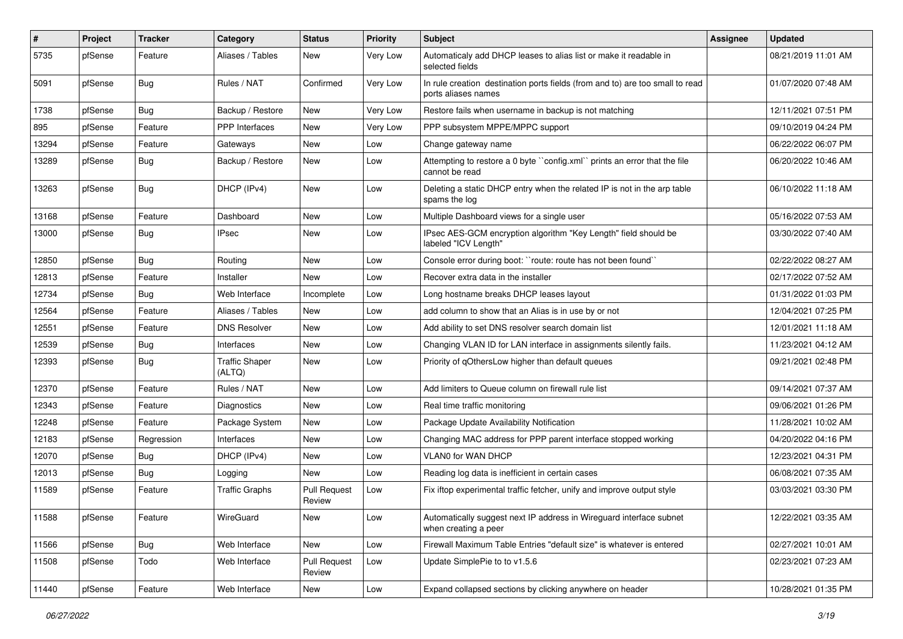| #     | <b>Project</b> | <b>Tracker</b> | Category                        | <b>Status</b>                 | <b>Priority</b> | <b>Subject</b>                                                                                       | <b>Assignee</b> | <b>Updated</b>      |
|-------|----------------|----------------|---------------------------------|-------------------------------|-----------------|------------------------------------------------------------------------------------------------------|-----------------|---------------------|
| 5735  | pfSense        | Feature        | Aliases / Tables                | <b>New</b>                    | Very Low        | Automaticaly add DHCP leases to alias list or make it readable in<br>selected fields                 |                 | 08/21/2019 11:01 AM |
| 5091  | pfSense        | <b>Bug</b>     | Rules / NAT                     | Confirmed                     | Very Low        | In rule creation destination ports fields (from and to) are too small to read<br>ports aliases names |                 | 01/07/2020 07:48 AM |
| 1738  | pfSense        | Bug            | Backup / Restore                | New                           | Very Low        | Restore fails when username in backup is not matching                                                |                 | 12/11/2021 07:51 PM |
| 895   | pfSense        | Feature        | <b>PPP</b> Interfaces           | New                           | Very Low        | PPP subsystem MPPE/MPPC support                                                                      |                 | 09/10/2019 04:24 PM |
| 13294 | pfSense        | Feature        | Gateways                        | <b>New</b>                    | Low             | Change gateway name                                                                                  |                 | 06/22/2022 06:07 PM |
| 13289 | pfSense        | <b>Bug</b>     | Backup / Restore                | New                           | Low             | Attempting to restore a 0 byte "config.xml" prints an error that the file<br>cannot be read          |                 | 06/20/2022 10:46 AM |
| 13263 | pfSense        | <b>Bug</b>     | DHCP (IPv4)                     | New                           | Low             | Deleting a static DHCP entry when the related IP is not in the arp table<br>spams the log            |                 | 06/10/2022 11:18 AM |
| 13168 | pfSense        | Feature        | Dashboard                       | New                           | Low             | Multiple Dashboard views for a single user                                                           |                 | 05/16/2022 07:53 AM |
| 13000 | pfSense        | <b>Bug</b>     | <b>IPsec</b>                    | New                           | Low             | IPsec AES-GCM encryption algorithm "Key Length" field should be<br>labeled "ICV Length"              |                 | 03/30/2022 07:40 AM |
| 12850 | pfSense        | <b>Bug</b>     | Routing                         | New                           | Low             | Console error during boot: "route: route has not been found"                                         |                 | 02/22/2022 08:27 AM |
| 12813 | pfSense        | Feature        | Installer                       | <b>New</b>                    | Low             | Recover extra data in the installer                                                                  |                 | 02/17/2022 07:52 AM |
| 12734 | pfSense        | <b>Bug</b>     | Web Interface                   | Incomplete                    | Low             | Long hostname breaks DHCP leases layout                                                              |                 | 01/31/2022 01:03 PM |
| 12564 | pfSense        | Feature        | Aliases / Tables                | New                           | Low             | add column to show that an Alias is in use by or not                                                 |                 | 12/04/2021 07:25 PM |
| 12551 | pfSense        | Feature        | <b>DNS Resolver</b>             | New                           | Low             | Add ability to set DNS resolver search domain list                                                   |                 | 12/01/2021 11:18 AM |
| 12539 | pfSense        | <b>Bug</b>     | Interfaces                      | New                           | Low             | Changing VLAN ID for LAN interface in assignments silently fails.                                    |                 | 11/23/2021 04:12 AM |
| 12393 | pfSense        | <b>Bug</b>     | <b>Traffic Shaper</b><br>(ALTQ) | New                           | Low             | Priority of qOthersLow higher than default queues                                                    |                 | 09/21/2021 02:48 PM |
| 12370 | pfSense        | Feature        | Rules / NAT                     | New                           | Low             | Add limiters to Queue column on firewall rule list                                                   |                 | 09/14/2021 07:37 AM |
| 12343 | pfSense        | Feature        | Diagnostics                     | New                           | Low             | Real time traffic monitoring                                                                         |                 | 09/06/2021 01:26 PM |
| 12248 | pfSense        | Feature        | Package System                  | New                           | Low             | Package Update Availability Notification                                                             |                 | 11/28/2021 10:02 AM |
| 12183 | pfSense        | Regression     | Interfaces                      | New                           | Low             | Changing MAC address for PPP parent interface stopped working                                        |                 | 04/20/2022 04:16 PM |
| 12070 | pfSense        | <b>Bug</b>     | DHCP (IPv4)                     | New                           | Low             | VLAN0 for WAN DHCP                                                                                   |                 | 12/23/2021 04:31 PM |
| 12013 | pfSense        | <b>Bug</b>     | Logging                         | New                           | Low             | Reading log data is inefficient in certain cases                                                     |                 | 06/08/2021 07:35 AM |
| 11589 | pfSense        | Feature        | <b>Traffic Graphs</b>           | <b>Pull Request</b><br>Review | Low             | Fix iftop experimental traffic fetcher, unify and improve output style                               |                 | 03/03/2021 03:30 PM |
| 11588 | pfSense        | Feature        | WireGuard                       | New                           | Low             | Automatically suggest next IP address in Wireguard interface subnet<br>when creating a peer          |                 | 12/22/2021 03:35 AM |
| 11566 | pfSense        | <b>Bug</b>     | Web Interface                   | New                           | Low             | Firewall Maximum Table Entries "default size" is whatever is entered                                 |                 | 02/27/2021 10:01 AM |
| 11508 | pfSense        | Todo           | Web Interface                   | <b>Pull Request</b><br>Review | Low             | Update SimplePie to to v1.5.6                                                                        |                 | 02/23/2021 07:23 AM |
| 11440 | pfSense        | Feature        | Web Interface                   | New                           | Low             | Expand collapsed sections by clicking anywhere on header                                             |                 | 10/28/2021 01:35 PM |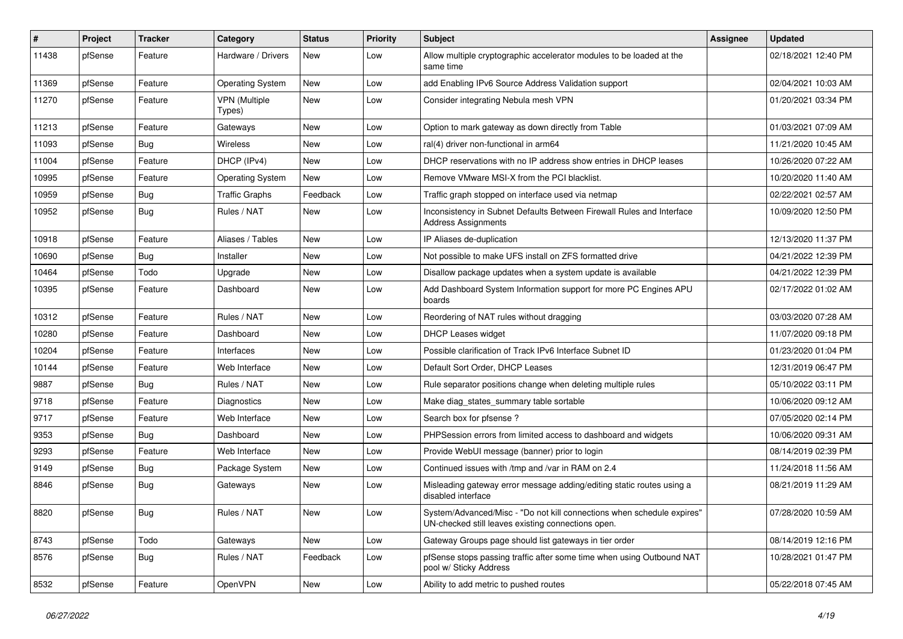| #     | Project | <b>Tracker</b> | Category                       | <b>Status</b> | <b>Priority</b> | <b>Subject</b>                                                                                                               | <b>Assignee</b> | <b>Updated</b>      |
|-------|---------|----------------|--------------------------------|---------------|-----------------|------------------------------------------------------------------------------------------------------------------------------|-----------------|---------------------|
| 11438 | pfSense | Feature        | Hardware / Drivers             | New           | Low             | Allow multiple cryptographic accelerator modules to be loaded at the<br>same time                                            |                 | 02/18/2021 12:40 PM |
| 11369 | pfSense | Feature        | <b>Operating System</b>        | New           | Low             | add Enabling IPv6 Source Address Validation support                                                                          |                 | 02/04/2021 10:03 AM |
| 11270 | pfSense | Feature        | <b>VPN</b> (Multiple<br>Types) | New           | Low             | Consider integrating Nebula mesh VPN                                                                                         |                 | 01/20/2021 03:34 PM |
| 11213 | pfSense | Feature        | Gateways                       | New           | Low             | Option to mark gateway as down directly from Table                                                                           |                 | 01/03/2021 07:09 AM |
| 11093 | pfSense | Bug            | <b>Wireless</b>                | New           | Low             | ral(4) driver non-functional in arm64                                                                                        |                 | 11/21/2020 10:45 AM |
| 11004 | pfSense | Feature        | DHCP (IPv4)                    | New           | Low             | DHCP reservations with no IP address show entries in DHCP leases                                                             |                 | 10/26/2020 07:22 AM |
| 10995 | pfSense | Feature        | <b>Operating System</b>        | New           | Low             | Remove VMware MSI-X from the PCI blacklist.                                                                                  |                 | 10/20/2020 11:40 AM |
| 10959 | pfSense | <b>Bug</b>     | <b>Traffic Graphs</b>          | Feedback      | Low             | Traffic graph stopped on interface used via netmap                                                                           |                 | 02/22/2021 02:57 AM |
| 10952 | pfSense | <b>Bug</b>     | Rules / NAT                    | New           | Low             | Inconsistency in Subnet Defaults Between Firewall Rules and Interface<br><b>Address Assignments</b>                          |                 | 10/09/2020 12:50 PM |
| 10918 | pfSense | Feature        | Aliases / Tables               | <b>New</b>    | Low             | IP Aliases de-duplication                                                                                                    |                 | 12/13/2020 11:37 PM |
| 10690 | pfSense | <b>Bug</b>     | Installer                      | New           | Low             | Not possible to make UFS install on ZFS formatted drive                                                                      |                 | 04/21/2022 12:39 PM |
| 10464 | pfSense | Todo           | Upgrade                        | New           | Low             | Disallow package updates when a system update is available                                                                   |                 | 04/21/2022 12:39 PM |
| 10395 | pfSense | Feature        | Dashboard                      | New           | Low             | Add Dashboard System Information support for more PC Engines APU<br>boards                                                   |                 | 02/17/2022 01:02 AM |
| 10312 | pfSense | Feature        | Rules / NAT                    | New           | Low             | Reordering of NAT rules without dragging                                                                                     |                 | 03/03/2020 07:28 AM |
| 10280 | pfSense | Feature        | Dashboard                      | New           | Low             | <b>DHCP Leases widget</b>                                                                                                    |                 | 11/07/2020 09:18 PM |
| 10204 | pfSense | Feature        | Interfaces                     | New           | Low             | Possible clarification of Track IPv6 Interface Subnet ID                                                                     |                 | 01/23/2020 01:04 PM |
| 10144 | pfSense | Feature        | Web Interface                  | New           | Low             | Default Sort Order, DHCP Leases                                                                                              |                 | 12/31/2019 06:47 PM |
| 9887  | pfSense | Bug            | Rules / NAT                    | New           | Low             | Rule separator positions change when deleting multiple rules                                                                 |                 | 05/10/2022 03:11 PM |
| 9718  | pfSense | Feature        | Diagnostics                    | New           | Low             | Make diag_states_summary table sortable                                                                                      |                 | 10/06/2020 09:12 AM |
| 9717  | pfSense | Feature        | Web Interface                  | New           | Low             | Search box for pfsense?                                                                                                      |                 | 07/05/2020 02:14 PM |
| 9353  | pfSense | Bug            | Dashboard                      | New           | Low             | PHPSession errors from limited access to dashboard and widgets                                                               |                 | 10/06/2020 09:31 AM |
| 9293  | pfSense | Feature        | Web Interface                  | New           | Low             | Provide WebUI message (banner) prior to login                                                                                |                 | 08/14/2019 02:39 PM |
| 9149  | pfSense | Bug            | Package System                 | New           | Low             | Continued issues with /tmp and /var in RAM on 2.4                                                                            |                 | 11/24/2018 11:56 AM |
| 8846  | pfSense | <b>Bug</b>     | Gateways                       | New           | Low             | Misleading gateway error message adding/editing static routes using a<br>disabled interface                                  |                 | 08/21/2019 11:29 AM |
| 8820  | pfSense | <b>Bug</b>     | Rules / NAT                    | New           | Low             | System/Advanced/Misc - "Do not kill connections when schedule expires"<br>UN-checked still leaves existing connections open. |                 | 07/28/2020 10:59 AM |
| 8743  | pfSense | Todo           | Gateways                       | New           | Low             | Gateway Groups page should list gateways in tier order                                                                       |                 | 08/14/2019 12:16 PM |
| 8576  | pfSense | <b>Bug</b>     | Rules / NAT                    | Feedback      | Low             | pfSense stops passing traffic after some time when using Outbound NAT<br>pool w/ Sticky Address                              |                 | 10/28/2021 01:47 PM |
| 8532  | pfSense | Feature        | OpenVPN                        | New           | Low             | Ability to add metric to pushed routes                                                                                       |                 | 05/22/2018 07:45 AM |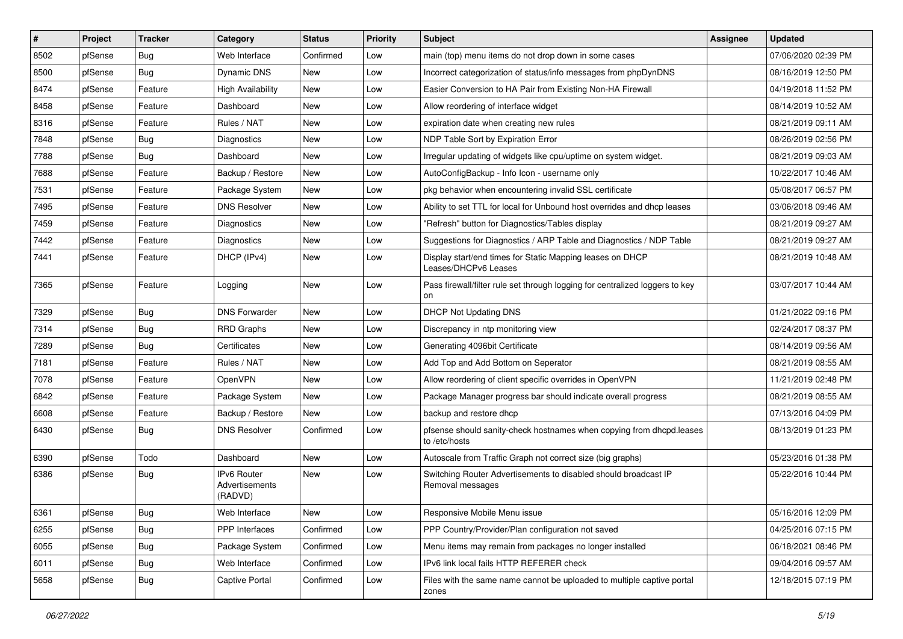| $\vert$ # | Project | <b>Tracker</b> | Category                                 | <b>Status</b> | Priority | <b>Subject</b>                                                                        | Assignee | <b>Updated</b>      |
|-----------|---------|----------------|------------------------------------------|---------------|----------|---------------------------------------------------------------------------------------|----------|---------------------|
| 8502      | pfSense | <b>Bug</b>     | Web Interface                            | Confirmed     | Low      | main (top) menu items do not drop down in some cases                                  |          | 07/06/2020 02:39 PM |
| 8500      | pfSense | Bug            | Dynamic DNS                              | New           | Low      | Incorrect categorization of status/info messages from phpDynDNS                       |          | 08/16/2019 12:50 PM |
| 8474      | pfSense | Feature        | <b>High Availability</b>                 | New           | Low      | Easier Conversion to HA Pair from Existing Non-HA Firewall                            |          | 04/19/2018 11:52 PM |
| 8458      | pfSense | Feature        | Dashboard                                | New           | Low      | Allow reordering of interface widget                                                  |          | 08/14/2019 10:52 AM |
| 8316      | pfSense | Feature        | Rules / NAT                              | New           | Low      | expiration date when creating new rules                                               |          | 08/21/2019 09:11 AM |
| 7848      | pfSense | <b>Bug</b>     | Diagnostics                              | New           | Low      | NDP Table Sort by Expiration Error                                                    |          | 08/26/2019 02:56 PM |
| 7788      | pfSense | <b>Bug</b>     | Dashboard                                | New           | Low      | Irregular updating of widgets like cpu/uptime on system widget.                       |          | 08/21/2019 09:03 AM |
| 7688      | pfSense | Feature        | Backup / Restore                         | New           | Low      | AutoConfigBackup - Info Icon - username only                                          |          | 10/22/2017 10:46 AM |
| 7531      | pfSense | Feature        | Package System                           | New           | Low      | pkg behavior when encountering invalid SSL certificate                                |          | 05/08/2017 06:57 PM |
| 7495      | pfSense | Feature        | <b>DNS Resolver</b>                      | New           | Low      | Ability to set TTL for local for Unbound host overrides and dhcp leases               |          | 03/06/2018 09:46 AM |
| 7459      | pfSense | Feature        | Diagnostics                              | New           | Low      | 'Refresh" button for Diagnostics/Tables display                                       |          | 08/21/2019 09:27 AM |
| 7442      | pfSense | Feature        | Diagnostics                              | New           | Low      | Suggestions for Diagnostics / ARP Table and Diagnostics / NDP Table                   |          | 08/21/2019 09:27 AM |
| 7441      | pfSense | Feature        | DHCP (IPv4)                              | New           | Low      | Display start/end times for Static Mapping leases on DHCP<br>Leases/DHCPv6 Leases     |          | 08/21/2019 10:48 AM |
| 7365      | pfSense | Feature        | Logging                                  | New           | Low      | Pass firewall/filter rule set through logging for centralized loggers to key<br>on    |          | 03/07/2017 10:44 AM |
| 7329      | pfSense | Bug            | <b>DNS Forwarder</b>                     | New           | Low      | <b>DHCP Not Updating DNS</b>                                                          |          | 01/21/2022 09:16 PM |
| 7314      | pfSense | Bug            | <b>RRD Graphs</b>                        | New           | Low      | Discrepancy in ntp monitoring view                                                    |          | 02/24/2017 08:37 PM |
| 7289      | pfSense | Bug            | Certificates                             | New           | Low      | Generating 4096bit Certificate                                                        |          | 08/14/2019 09:56 AM |
| 7181      | pfSense | Feature        | Rules / NAT                              | New           | Low      | Add Top and Add Bottom on Seperator                                                   |          | 08/21/2019 08:55 AM |
| 7078      | pfSense | Feature        | OpenVPN                                  | New           | Low      | Allow reordering of client specific overrides in OpenVPN                              |          | 11/21/2019 02:48 PM |
| 6842      | pfSense | Feature        | Package System                           | New           | Low      | Package Manager progress bar should indicate overall progress                         |          | 08/21/2019 08:55 AM |
| 6608      | pfSense | Feature        | Backup / Restore                         | New           | Low      | backup and restore dhcp                                                               |          | 07/13/2016 04:09 PM |
| 6430      | pfSense | Bug            | <b>DNS Resolver</b>                      | Confirmed     | Low      | pfsense should sanity-check hostnames when copying from dhcpd.leases<br>to /etc/hosts |          | 08/13/2019 01:23 PM |
| 6390      | pfSense | Todo           | Dashboard                                | New           | Low      | Autoscale from Traffic Graph not correct size (big graphs)                            |          | 05/23/2016 01:38 PM |
| 6386      | pfSense | <b>Bug</b>     | IPv6 Router<br>Advertisements<br>(RADVD) | New           | Low      | Switching Router Advertisements to disabled should broadcast IP<br>Removal messages   |          | 05/22/2016 10:44 PM |
| 6361      | pfSense | Bug            | Web Interface                            | New           | Low      | Responsive Mobile Menu issue                                                          |          | 05/16/2016 12:09 PM |
| 6255      | pfSense | <b>Bug</b>     | PPP Interfaces                           | Confirmed     | Low      | PPP Country/Provider/Plan configuration not saved                                     |          | 04/25/2016 07:15 PM |
| 6055      | pfSense | <b>Bug</b>     | Package System                           | Confirmed     | Low      | Menu items may remain from packages no longer installed                               |          | 06/18/2021 08:46 PM |
| 6011      | pfSense | <b>Bug</b>     | Web Interface                            | Confirmed     | Low      | IPv6 link local fails HTTP REFERER check                                              |          | 09/04/2016 09:57 AM |
| 5658      | pfSense | <b>Bug</b>     | Captive Portal                           | Confirmed     | Low      | Files with the same name cannot be uploaded to multiple captive portal<br>zones       |          | 12/18/2015 07:19 PM |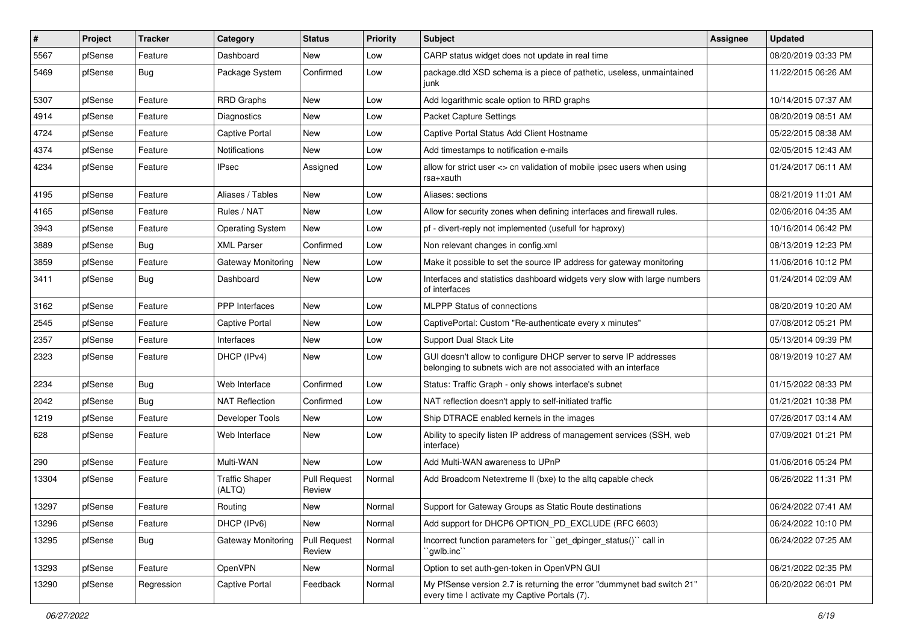| #     | Project | <b>Tracker</b> | Category                        | <b>Status</b>                 | Priority | <b>Subject</b>                                                                                                                     | <b>Assignee</b> | <b>Updated</b>      |
|-------|---------|----------------|---------------------------------|-------------------------------|----------|------------------------------------------------------------------------------------------------------------------------------------|-----------------|---------------------|
| 5567  | pfSense | Feature        | Dashboard                       | New                           | Low      | CARP status widget does not update in real time                                                                                    |                 | 08/20/2019 03:33 PM |
| 5469  | pfSense | <b>Bug</b>     | Package System                  | Confirmed                     | Low      | package.dtd XSD schema is a piece of pathetic, useless, unmaintained<br>junk                                                       |                 | 11/22/2015 06:26 AM |
| 5307  | pfSense | Feature        | <b>RRD Graphs</b>               | <b>New</b>                    | Low      | Add logarithmic scale option to RRD graphs                                                                                         |                 | 10/14/2015 07:37 AM |
| 4914  | pfSense | Feature        | <b>Diagnostics</b>              | <b>New</b>                    | Low      | Packet Capture Settings                                                                                                            |                 | 08/20/2019 08:51 AM |
| 4724  | pfSense | Feature        | Captive Portal                  | New                           | Low      | Captive Portal Status Add Client Hostname                                                                                          |                 | 05/22/2015 08:38 AM |
| 4374  | pfSense | Feature        | <b>Notifications</b>            | New                           | Low      | Add timestamps to notification e-mails                                                                                             |                 | 02/05/2015 12:43 AM |
| 4234  | pfSense | Feature        | <b>IPsec</b>                    | Assigned                      | Low      | allow for strict user <> cn validation of mobile ipsec users when using<br>rsa+xauth                                               |                 | 01/24/2017 06:11 AM |
| 4195  | pfSense | Feature        | Aliases / Tables                | <b>New</b>                    | Low      | Aliases: sections                                                                                                                  |                 | 08/21/2019 11:01 AM |
| 4165  | pfSense | Feature        | Rules / NAT                     | New                           | Low      | Allow for security zones when defining interfaces and firewall rules.                                                              |                 | 02/06/2016 04:35 AM |
| 3943  | pfSense | Feature        | <b>Operating System</b>         | New                           | Low      | pf - divert-reply not implemented (usefull for haproxy)                                                                            |                 | 10/16/2014 06:42 PM |
| 3889  | pfSense | Bug            | <b>XML Parser</b>               | Confirmed                     | Low      | Non relevant changes in config.xml                                                                                                 |                 | 08/13/2019 12:23 PM |
| 3859  | pfSense | Feature        | Gateway Monitoring              | New                           | Low      | Make it possible to set the source IP address for gateway monitoring                                                               |                 | 11/06/2016 10:12 PM |
| 3411  | pfSense | Bug            | Dashboard                       | New                           | Low      | Interfaces and statistics dashboard widgets very slow with large numbers<br>of interfaces                                          |                 | 01/24/2014 02:09 AM |
| 3162  | pfSense | Feature        | <b>PPP</b> Interfaces           | New                           | Low      | <b>MLPPP Status of connections</b>                                                                                                 |                 | 08/20/2019 10:20 AM |
| 2545  | pfSense | Feature        | <b>Captive Portal</b>           | New                           | Low      | CaptivePortal: Custom "Re-authenticate every x minutes"                                                                            |                 | 07/08/2012 05:21 PM |
| 2357  | pfSense | Feature        | Interfaces                      | New                           | Low      | Support Dual Stack Lite                                                                                                            |                 | 05/13/2014 09:39 PM |
| 2323  | pfSense | Feature        | DHCP (IPv4)                     | New                           | Low      | GUI doesn't allow to configure DHCP server to serve IP addresses<br>belonging to subnets wich are not associated with an interface |                 | 08/19/2019 10:27 AM |
| 2234  | pfSense | <b>Bug</b>     | Web Interface                   | Confirmed                     | Low      | Status: Traffic Graph - only shows interface's subnet                                                                              |                 | 01/15/2022 08:33 PM |
| 2042  | pfSense | Bug            | <b>NAT Reflection</b>           | Confirmed                     | Low      | NAT reflection doesn't apply to self-initiated traffic                                                                             |                 | 01/21/2021 10:38 PM |
| 1219  | pfSense | Feature        | Developer Tools                 | New                           | Low      | Ship DTRACE enabled kernels in the images                                                                                          |                 | 07/26/2017 03:14 AM |
| 628   | pfSense | Feature        | Web Interface                   | New                           | Low      | Ability to specify listen IP address of management services (SSH, web<br>interface)                                                |                 | 07/09/2021 01:21 PM |
| 290   | pfSense | Feature        | Multi-WAN                       | New                           | Low      | Add Multi-WAN awareness to UPnP                                                                                                    |                 | 01/06/2016 05:24 PM |
| 13304 | pfSense | Feature        | <b>Traffic Shaper</b><br>(ALTQ) | <b>Pull Request</b><br>Review | Normal   | Add Broadcom Netextreme II (bxe) to the altq capable check                                                                         |                 | 06/26/2022 11:31 PM |
| 13297 | pfSense | Feature        | Routing                         | New                           | Normal   | Support for Gateway Groups as Static Route destinations                                                                            |                 | 06/24/2022 07:41 AM |
| 13296 | pfSense | Feature        | DHCP (IPv6)                     | New                           | Normal   | Add support for DHCP6 OPTION PD EXCLUDE (RFC 6603)                                                                                 |                 | 06/24/2022 10:10 PM |
| 13295 | pfSense | <b>Bug</b>     | Gateway Monitoring              | <b>Pull Request</b><br>Review | Normal   | Incorrect function parameters for "get_dpinger_status()" call in<br>`gwlb.inc``                                                    |                 | 06/24/2022 07:25 AM |
| 13293 | pfSense | Feature        | OpenVPN                         | New                           | Normal   | Option to set auth-gen-token in OpenVPN GUI                                                                                        |                 | 06/21/2022 02:35 PM |
| 13290 | pfSense | Regression     | Captive Portal                  | Feedback                      | Normal   | My PfSense version 2.7 is returning the error "dummynet bad switch 21"<br>every time I activate my Captive Portals (7).            |                 | 06/20/2022 06:01 PM |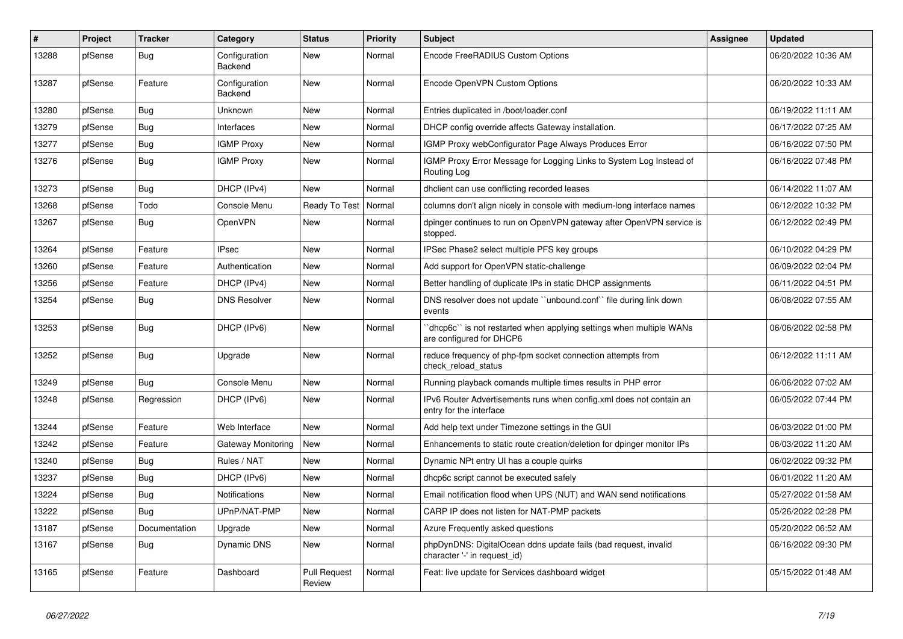| #     | <b>Project</b> | <b>Tracker</b> | Category                 | <b>Status</b>                 | <b>Priority</b> | <b>Subject</b>                                                                                  | Assignee | <b>Updated</b>      |
|-------|----------------|----------------|--------------------------|-------------------------------|-----------------|-------------------------------------------------------------------------------------------------|----------|---------------------|
| 13288 | pfSense        | <b>Bug</b>     | Configuration<br>Backend | New                           | Normal          | Encode FreeRADIUS Custom Options                                                                |          | 06/20/2022 10:36 AM |
| 13287 | pfSense        | Feature        | Configuration<br>Backend | <b>New</b>                    | Normal          | Encode OpenVPN Custom Options                                                                   |          | 06/20/2022 10:33 AM |
| 13280 | pfSense        | Bug            | Unknown                  | New                           | Normal          | Entries duplicated in /boot/loader.conf                                                         |          | 06/19/2022 11:11 AM |
| 13279 | pfSense        | <b>Bug</b>     | Interfaces               | <b>New</b>                    | Normal          | DHCP config override affects Gateway installation.                                              |          | 06/17/2022 07:25 AM |
| 13277 | pfSense        | <b>Bug</b>     | <b>IGMP Proxy</b>        | New                           | Normal          | IGMP Proxy webConfigurator Page Always Produces Error                                           |          | 06/16/2022 07:50 PM |
| 13276 | pfSense        | <b>Bug</b>     | <b>IGMP Proxy</b>        | New                           | Normal          | IGMP Proxy Error Message for Logging Links to System Log Instead of<br>Routing Log              |          | 06/16/2022 07:48 PM |
| 13273 | pfSense        | Bug            | DHCP (IPv4)              | New                           | Normal          | dholient can use conflicting recorded leases                                                    |          | 06/14/2022 11:07 AM |
| 13268 | pfSense        | Todo           | Console Menu             | Ready To Test                 | Normal          | columns don't align nicely in console with medium-long interface names                          |          | 06/12/2022 10:32 PM |
| 13267 | pfSense        | Bug            | OpenVPN                  | New                           | Normal          | dpinger continues to run on OpenVPN gateway after OpenVPN service is<br>stopped.                |          | 06/12/2022 02:49 PM |
| 13264 | pfSense        | Feature        | <b>IPsec</b>             | New                           | Normal          | IPSec Phase2 select multiple PFS key groups                                                     |          | 06/10/2022 04:29 PM |
| 13260 | pfSense        | Feature        | Authentication           | <b>New</b>                    | Normal          | Add support for OpenVPN static-challenge                                                        |          | 06/09/2022 02:04 PM |
| 13256 | pfSense        | Feature        | DHCP (IPv4)              | <b>New</b>                    | Normal          | Better handling of duplicate IPs in static DHCP assignments                                     |          | 06/11/2022 04:51 PM |
| 13254 | pfSense        | Bug            | <b>DNS Resolver</b>      | New                           | Normal          | DNS resolver does not update "unbound.conf" file during link down<br>events                     |          | 06/08/2022 07:55 AM |
| 13253 | pfSense        | Bug            | DHCP (IPv6)              | New                           | Normal          | dhcp6c" is not restarted when applying settings when multiple WANs<br>are configured for DHCP6  |          | 06/06/2022 02:58 PM |
| 13252 | pfSense        | <b>Bug</b>     | Upgrade                  | New                           | Normal          | reduce frequency of php-fpm socket connection attempts from<br>check reload status              |          | 06/12/2022 11:11 AM |
| 13249 | pfSense        | Bug            | Console Menu             | New                           | Normal          | Running playback comands multiple times results in PHP error                                    |          | 06/06/2022 07:02 AM |
| 13248 | pfSense        | Regression     | DHCP (IPv6)              | <b>New</b>                    | Normal          | IPv6 Router Advertisements runs when config.xml does not contain an<br>entry for the interface  |          | 06/05/2022 07:44 PM |
| 13244 | pfSense        | Feature        | Web Interface            | New                           | Normal          | Add help text under Timezone settings in the GUI                                                |          | 06/03/2022 01:00 PM |
| 13242 | pfSense        | Feature        | Gateway Monitoring       | New                           | Normal          | Enhancements to static route creation/deletion for dpinger monitor IPs                          |          | 06/03/2022 11:20 AM |
| 13240 | pfSense        | <b>Bug</b>     | Rules / NAT              | New                           | Normal          | Dynamic NPt entry UI has a couple quirks                                                        |          | 06/02/2022 09:32 PM |
| 13237 | pfSense        | <b>Bug</b>     | DHCP (IPv6)              | New                           | Normal          | dhcp6c script cannot be executed safely                                                         |          | 06/01/2022 11:20 AM |
| 13224 | pfSense        | <b>Bug</b>     | Notifications            | New                           | Normal          | Email notification flood when UPS (NUT) and WAN send notifications                              |          | 05/27/2022 01:58 AM |
| 13222 | pfSense        | <b>Bug</b>     | UPnP/NAT-PMP             | New                           | Normal          | CARP IP does not listen for NAT-PMP packets                                                     |          | 05/26/2022 02:28 PM |
| 13187 | pfSense        | Documentation  | Upgrade                  | New                           | Normal          | Azure Frequently asked questions                                                                |          | 05/20/2022 06:52 AM |
| 13167 | pfSense        | Bug            | Dynamic DNS              | New                           | Normal          | phpDynDNS: DigitalOcean ddns update fails (bad request, invalid<br>character '-' in request id) |          | 06/16/2022 09:30 PM |
| 13165 | pfSense        | Feature        | Dashboard                | <b>Pull Request</b><br>Review | Normal          | Feat: live update for Services dashboard widget                                                 |          | 05/15/2022 01:48 AM |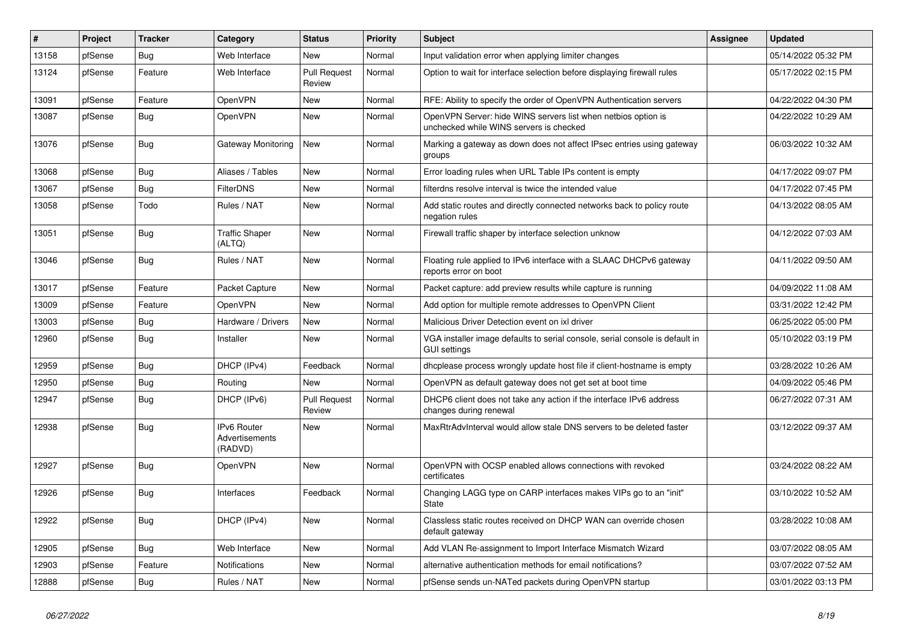| $\vert$ # | Project | <b>Tracker</b> | Category                                               | <b>Status</b>                 | <b>Priority</b> | <b>Subject</b>                                                                                           | <b>Assignee</b> | <b>Updated</b>      |
|-----------|---------|----------------|--------------------------------------------------------|-------------------------------|-----------------|----------------------------------------------------------------------------------------------------------|-----------------|---------------------|
| 13158     | pfSense | Bug            | Web Interface                                          | <b>New</b>                    | Normal          | Input validation error when applying limiter changes                                                     |                 | 05/14/2022 05:32 PM |
| 13124     | pfSense | Feature        | Web Interface                                          | Pull Request<br>Review        | Normal          | Option to wait for interface selection before displaying firewall rules                                  |                 | 05/17/2022 02:15 PM |
| 13091     | pfSense | Feature        | OpenVPN                                                | <b>New</b>                    | Normal          | RFE: Ability to specify the order of OpenVPN Authentication servers                                      |                 | 04/22/2022 04:30 PM |
| 13087     | pfSense | <b>Bug</b>     | OpenVPN                                                | New                           | Normal          | OpenVPN Server: hide WINS servers list when netbios option is<br>unchecked while WINS servers is checked |                 | 04/22/2022 10:29 AM |
| 13076     | pfSense | Bug            | Gateway Monitoring                                     | <b>New</b>                    | Normal          | Marking a gateway as down does not affect IPsec entries using gateway<br>groups                          |                 | 06/03/2022 10:32 AM |
| 13068     | pfSense | <b>Bug</b>     | Aliases / Tables                                       | <b>New</b>                    | Normal          | Error loading rules when URL Table IPs content is empty                                                  |                 | 04/17/2022 09:07 PM |
| 13067     | pfSense | <b>Bug</b>     | <b>FilterDNS</b>                                       | <b>New</b>                    | Normal          | filterdns resolve interval is twice the intended value                                                   |                 | 04/17/2022 07:45 PM |
| 13058     | pfSense | Todo           | Rules / NAT                                            | <b>New</b>                    | Normal          | Add static routes and directly connected networks back to policy route<br>negation rules                 |                 | 04/13/2022 08:05 AM |
| 13051     | pfSense | <b>Bug</b>     | <b>Traffic Shaper</b><br>(ALTQ)                        | New                           | Normal          | Firewall traffic shaper by interface selection unknow                                                    |                 | 04/12/2022 07:03 AM |
| 13046     | pfSense | <b>Bug</b>     | Rules / NAT                                            | <b>New</b>                    | Normal          | Floating rule applied to IPv6 interface with a SLAAC DHCPv6 gateway<br>reports error on boot             |                 | 04/11/2022 09:50 AM |
| 13017     | pfSense | Feature        | Packet Capture                                         | <b>New</b>                    | Normal          | Packet capture: add preview results while capture is running                                             |                 | 04/09/2022 11:08 AM |
| 13009     | pfSense | Feature        | OpenVPN                                                | <b>New</b>                    | Normal          | Add option for multiple remote addresses to OpenVPN Client                                               |                 | 03/31/2022 12:42 PM |
| 13003     | pfSense | Bug            | Hardware / Drivers                                     | New                           | Normal          | Malicious Driver Detection event on ixl driver                                                           |                 | 06/25/2022 05:00 PM |
| 12960     | pfSense | <b>Bug</b>     | Installer                                              | New                           | Normal          | VGA installer image defaults to serial console, serial console is default in<br><b>GUI settings</b>      |                 | 05/10/2022 03:19 PM |
| 12959     | pfSense | Bug            | DHCP (IPv4)                                            | Feedback                      | Normal          | dhoplease process wrongly update host file if client-hostname is empty                                   |                 | 03/28/2022 10:26 AM |
| 12950     | pfSense | <b>Bug</b>     | Routing                                                | New                           | Normal          | OpenVPN as default gateway does not get set at boot time                                                 |                 | 04/09/2022 05:46 PM |
| 12947     | pfSense | Bug            | DHCP (IPv6)                                            | <b>Pull Request</b><br>Review | Normal          | DHCP6 client does not take any action if the interface IPv6 address<br>changes during renewal            |                 | 06/27/2022 07:31 AM |
| 12938     | pfSense | <b>Bug</b>     | <b>IPv6 Router</b><br><b>Advertisements</b><br>(RADVD) | <b>New</b>                    | Normal          | MaxRtrAdvInterval would allow stale DNS servers to be deleted faster                                     |                 | 03/12/2022 09:37 AM |
| 12927     | pfSense | <b>Bug</b>     | OpenVPN                                                | New                           | Normal          | OpenVPN with OCSP enabled allows connections with revoked<br>certificates                                |                 | 03/24/2022 08:22 AM |
| 12926     | pfSense | <b>Bug</b>     | <b>Interfaces</b>                                      | Feedback                      | Normal          | Changing LAGG type on CARP interfaces makes VIPs go to an "init"<br><b>State</b>                         |                 | 03/10/2022 10:52 AM |
| 12922     | pfSense | Bug            | DHCP (IPv4)                                            | <b>New</b>                    | Normal          | Classless static routes received on DHCP WAN can override chosen<br>default gateway                      |                 | 03/28/2022 10:08 AM |
| 12905     | pfSense | Bug            | Web Interface                                          | New                           | Normal          | Add VLAN Re-assignment to Import Interface Mismatch Wizard                                               |                 | 03/07/2022 08:05 AM |
| 12903     | pfSense | Feature        | <b>Notifications</b>                                   | New                           | Normal          | alternative authentication methods for email notifications?                                              |                 | 03/07/2022 07:52 AM |
| 12888     | pfSense | <b>Bug</b>     | Rules / NAT                                            | <b>New</b>                    | Normal          | pfSense sends un-NATed packets during OpenVPN startup                                                    |                 | 03/01/2022 03:13 PM |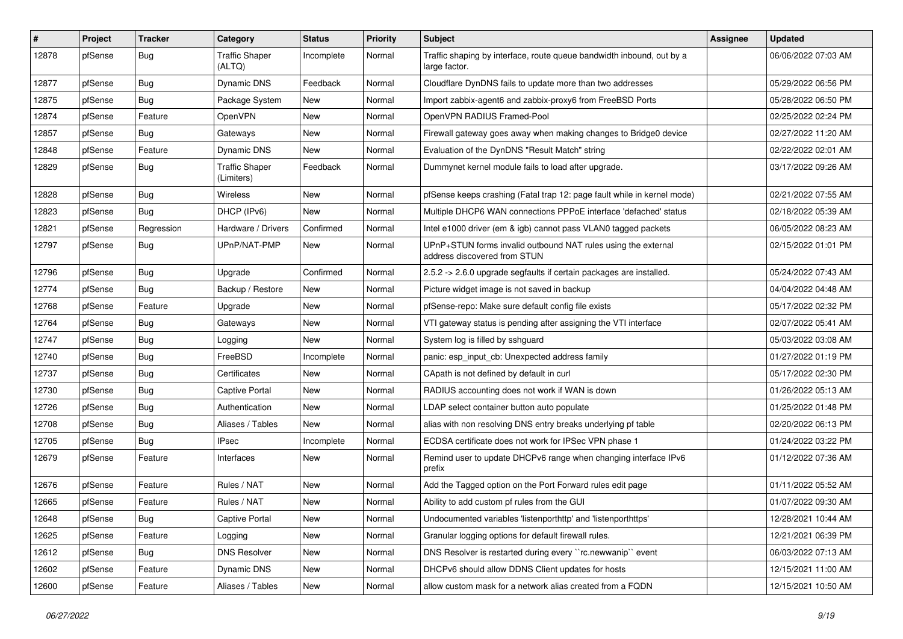| #     | Project | <b>Tracker</b> | Category                            | <b>Status</b> | Priority | <b>Subject</b>                                                                                | <b>Assignee</b> | <b>Updated</b>      |
|-------|---------|----------------|-------------------------------------|---------------|----------|-----------------------------------------------------------------------------------------------|-----------------|---------------------|
| 12878 | pfSense | <b>Bug</b>     | <b>Traffic Shaper</b><br>(ALTQ)     | Incomplete    | Normal   | Traffic shaping by interface, route queue bandwidth inbound, out by a<br>large factor.        |                 | 06/06/2022 07:03 AM |
| 12877 | pfSense | <b>Bug</b>     | Dynamic DNS                         | Feedback      | Normal   | Cloudflare DynDNS fails to update more than two addresses                                     |                 | 05/29/2022 06:56 PM |
| 12875 | pfSense | <b>Bug</b>     | Package System                      | New           | Normal   | Import zabbix-agent6 and zabbix-proxy6 from FreeBSD Ports                                     |                 | 05/28/2022 06:50 PM |
| 12874 | pfSense | Feature        | OpenVPN                             | New           | Normal   | OpenVPN RADIUS Framed-Pool                                                                    |                 | 02/25/2022 02:24 PM |
| 12857 | pfSense | <b>Bug</b>     | Gateways                            | New           | Normal   | Firewall gateway goes away when making changes to Bridge0 device                              |                 | 02/27/2022 11:20 AM |
| 12848 | pfSense | Feature        | Dynamic DNS                         | New           | Normal   | Evaluation of the DynDNS "Result Match" string                                                |                 | 02/22/2022 02:01 AM |
| 12829 | pfSense | <b>Bug</b>     | <b>Traffic Shaper</b><br>(Limiters) | Feedback      | Normal   | Dummynet kernel module fails to load after upgrade.                                           |                 | 03/17/2022 09:26 AM |
| 12828 | pfSense | Bug            | Wireless                            | <b>New</b>    | Normal   | pfSense keeps crashing (Fatal trap 12: page fault while in kernel mode)                       |                 | 02/21/2022 07:55 AM |
| 12823 | pfSense | <b>Bug</b>     | DHCP (IPv6)                         | New           | Normal   | Multiple DHCP6 WAN connections PPPoE interface 'defached' status                              |                 | 02/18/2022 05:39 AM |
| 12821 | pfSense | Regression     | Hardware / Drivers                  | Confirmed     | Normal   | Intel e1000 driver (em & igb) cannot pass VLAN0 tagged packets                                |                 | 06/05/2022 08:23 AM |
| 12797 | pfSense | <b>Bug</b>     | UPnP/NAT-PMP                        | New           | Normal   | UPnP+STUN forms invalid outbound NAT rules using the external<br>address discovered from STUN |                 | 02/15/2022 01:01 PM |
| 12796 | pfSense | Bug            | Upgrade                             | Confirmed     | Normal   | 2.5.2 -> 2.6.0 upgrade segfaults if certain packages are installed.                           |                 | 05/24/2022 07:43 AM |
| 12774 | pfSense | Bug            | Backup / Restore                    | New           | Normal   | Picture widget image is not saved in backup                                                   |                 | 04/04/2022 04:48 AM |
| 12768 | pfSense | Feature        | Upgrade                             | New           | Normal   | pfSense-repo: Make sure default config file exists                                            |                 | 05/17/2022 02:32 PM |
| 12764 | pfSense | Bug            | Gateways                            | New           | Normal   | VTI gateway status is pending after assigning the VTI interface                               |                 | 02/07/2022 05:41 AM |
| 12747 | pfSense | <b>Bug</b>     | Logging                             | New           | Normal   | System log is filled by sshguard                                                              |                 | 05/03/2022 03:08 AM |
| 12740 | pfSense | Bug            | FreeBSD                             | Incomplete    | Normal   | panic: esp input cb: Unexpected address family                                                |                 | 01/27/2022 01:19 PM |
| 12737 | pfSense | <b>Bug</b>     | Certificates                        | <b>New</b>    | Normal   | CApath is not defined by default in curl                                                      |                 | 05/17/2022 02:30 PM |
| 12730 | pfSense | Bug            | <b>Captive Portal</b>               | New           | Normal   | RADIUS accounting does not work if WAN is down                                                |                 | 01/26/2022 05:13 AM |
| 12726 | pfSense | <b>Bug</b>     | Authentication                      | New           | Normal   | LDAP select container button auto populate                                                    |                 | 01/25/2022 01:48 PM |
| 12708 | pfSense | Bug            | Aliases / Tables                    | New           | Normal   | alias with non resolving DNS entry breaks underlying pf table                                 |                 | 02/20/2022 06:13 PM |
| 12705 | pfSense | <b>Bug</b>     | <b>IPsec</b>                        | Incomplete    | Normal   | ECDSA certificate does not work for IPSec VPN phase 1                                         |                 | 01/24/2022 03:22 PM |
| 12679 | pfSense | Feature        | Interfaces                          | New           | Normal   | Remind user to update DHCPv6 range when changing interface IPv6<br>prefix                     |                 | 01/12/2022 07:36 AM |
| 12676 | pfSense | Feature        | Rules / NAT                         | New           | Normal   | Add the Tagged option on the Port Forward rules edit page                                     |                 | 01/11/2022 05:52 AM |
| 12665 | pfSense | Feature        | Rules / NAT                         | New           | Normal   | Ability to add custom pf rules from the GUI                                                   |                 | 01/07/2022 09:30 AM |
| 12648 | pfSense | <b>Bug</b>     | Captive Portal                      | New           | Normal   | Undocumented variables 'listenporthttp' and 'listenporthttps'                                 |                 | 12/28/2021 10:44 AM |
| 12625 | pfSense | Feature        | Logging                             | New           | Normal   | Granular logging options for default firewall rules.                                          |                 | 12/21/2021 06:39 PM |
| 12612 | pfSense | <b>Bug</b>     | <b>DNS Resolver</b>                 | New           | Normal   | DNS Resolver is restarted during every "rc.newwanip" event                                    |                 | 06/03/2022 07:13 AM |
| 12602 | pfSense | Feature        | Dynamic DNS                         | New           | Normal   | DHCPv6 should allow DDNS Client updates for hosts                                             |                 | 12/15/2021 11:00 AM |
| 12600 | pfSense | Feature        | Aliases / Tables                    | New           | Normal   | allow custom mask for a network alias created from a FQDN                                     |                 | 12/15/2021 10:50 AM |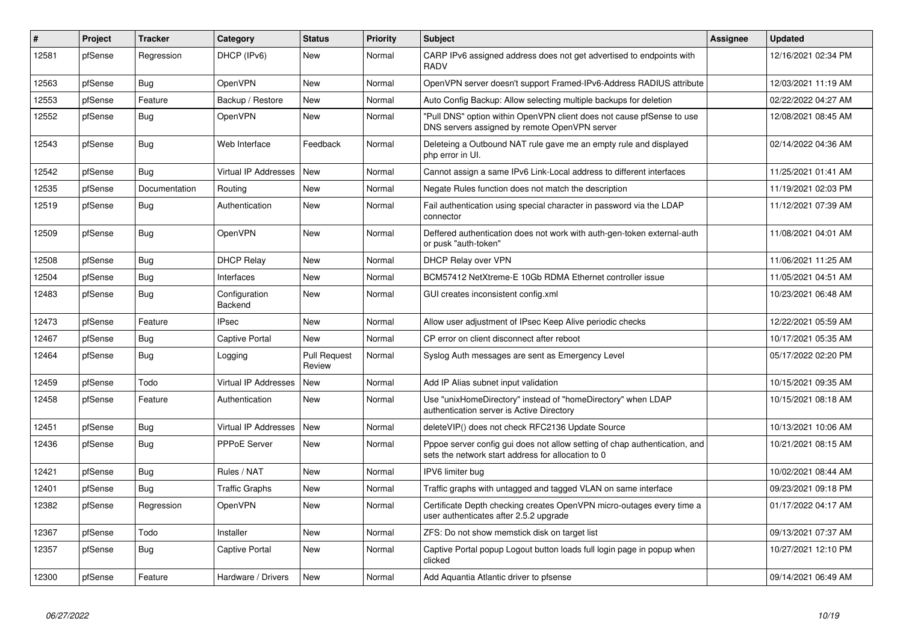| $\#$  | Project | <b>Tracker</b> | Category                        | <b>Status</b>                 | <b>Priority</b> | <b>Subject</b>                                                                                                                   | <b>Assignee</b> | <b>Updated</b>      |
|-------|---------|----------------|---------------------------------|-------------------------------|-----------------|----------------------------------------------------------------------------------------------------------------------------------|-----------------|---------------------|
| 12581 | pfSense | Regression     | DHCP (IPv6)                     | New                           | Normal          | CARP IPv6 assigned address does not get advertised to endpoints with<br>RADV                                                     |                 | 12/16/2021 02:34 PM |
| 12563 | pfSense | Bug            | OpenVPN                         | New                           | Normal          | OpenVPN server doesn't support Framed-IPv6-Address RADIUS attribute                                                              |                 | 12/03/2021 11:19 AM |
| 12553 | pfSense | Feature        | Backup / Restore                | New                           | Normal          | Auto Config Backup: Allow selecting multiple backups for deletion                                                                |                 | 02/22/2022 04:27 AM |
| 12552 | pfSense | Bug            | OpenVPN                         | New                           | Normal          | 'Pull DNS" option within OpenVPN client does not cause pfSense to use<br>DNS servers assigned by remote OpenVPN server           |                 | 12/08/2021 08:45 AM |
| 12543 | pfSense | Bug            | Web Interface                   | Feedback                      | Normal          | Deleteing a Outbound NAT rule gave me an empty rule and displayed<br>php error in UI.                                            |                 | 02/14/2022 04:36 AM |
| 12542 | pfSense | <b>Bug</b>     | <b>Virtual IP Addresses</b>     | <b>New</b>                    | Normal          | Cannot assign a same IPv6 Link-Local address to different interfaces                                                             |                 | 11/25/2021 01:41 AM |
| 12535 | pfSense | Documentation  | Routing                         | New                           | Normal          | Negate Rules function does not match the description                                                                             |                 | 11/19/2021 02:03 PM |
| 12519 | pfSense | <b>Bug</b>     | Authentication                  | New                           | Normal          | Fail authentication using special character in password via the LDAP<br>connector                                                |                 | 11/12/2021 07:39 AM |
| 12509 | pfSense | <b>Bug</b>     | OpenVPN                         | <b>New</b>                    | Normal          | Deffered authentication does not work with auth-gen-token external-auth<br>or pusk "auth-token"                                  |                 | 11/08/2021 04:01 AM |
| 12508 | pfSense | Bug            | <b>DHCP Relay</b>               | <b>New</b>                    | Normal          | DHCP Relay over VPN                                                                                                              |                 | 11/06/2021 11:25 AM |
| 12504 | pfSense | <b>Bug</b>     | Interfaces                      | <b>New</b>                    | Normal          | BCM57412 NetXtreme-E 10Gb RDMA Ethernet controller issue                                                                         |                 | 11/05/2021 04:51 AM |
| 12483 | pfSense | <b>Bug</b>     | Configuration<br><b>Backend</b> | <b>New</b>                    | Normal          | GUI creates inconsistent config.xml                                                                                              |                 | 10/23/2021 06:48 AM |
| 12473 | pfSense | Feature        | <b>IPsec</b>                    | <b>New</b>                    | Normal          | Allow user adjustment of IPsec Keep Alive periodic checks                                                                        |                 | 12/22/2021 05:59 AM |
| 12467 | pfSense | Bug            | <b>Captive Portal</b>           | <b>New</b>                    | Normal          | CP error on client disconnect after reboot                                                                                       |                 | 10/17/2021 05:35 AM |
| 12464 | pfSense | <b>Bug</b>     | Logging                         | <b>Pull Request</b><br>Review | Normal          | Syslog Auth messages are sent as Emergency Level                                                                                 |                 | 05/17/2022 02:20 PM |
| 12459 | pfSense | Todo           | <b>Virtual IP Addresses</b>     | <b>New</b>                    | Normal          | Add IP Alias subnet input validation                                                                                             |                 | 10/15/2021 09:35 AM |
| 12458 | pfSense | Feature        | Authentication                  | <b>New</b>                    | Normal          | Use "unixHomeDirectory" instead of "homeDirectory" when LDAP<br>authentication server is Active Directory                        |                 | 10/15/2021 08:18 AM |
| 12451 | pfSense | Bug            | <b>Virtual IP Addresses</b>     | <b>New</b>                    | Normal          | deleteVIP() does not check RFC2136 Update Source                                                                                 |                 | 10/13/2021 10:06 AM |
| 12436 | pfSense | <b>Bug</b>     | <b>PPPoE Server</b>             | <b>New</b>                    | Normal          | Pppoe server config gui does not allow setting of chap authentication, and<br>sets the network start address for allocation to 0 |                 | 10/21/2021 08:15 AM |
| 12421 | pfSense | <b>Bug</b>     | Rules / NAT                     | <b>New</b>                    | Normal          | IPV6 limiter bug                                                                                                                 |                 | 10/02/2021 08:44 AM |
| 12401 | pfSense | <b>Bug</b>     | <b>Traffic Graphs</b>           | <b>New</b>                    | Normal          | Traffic graphs with untagged and tagged VLAN on same interface                                                                   |                 | 09/23/2021 09:18 PM |
| 12382 | pfSense | Regression     | OpenVPN                         | New                           | Normal          | Certificate Depth checking creates OpenVPN micro-outages every time a<br>user authenticates after 2.5.2 upgrade                  |                 | 01/17/2022 04:17 AM |
| 12367 | pfSense | Todo           | Installer                       | <b>New</b>                    | Normal          | ZFS: Do not show memstick disk on target list                                                                                    |                 | 09/13/2021 07:37 AM |
| 12357 | pfSense | Bug            | Captive Portal                  | <b>New</b>                    | Normal          | Captive Portal popup Logout button loads full login page in popup when<br>clicked                                                |                 | 10/27/2021 12:10 PM |
| 12300 | pfSense | Feature        | Hardware / Drivers              | <b>New</b>                    | Normal          | Add Aquantia Atlantic driver to pfsense                                                                                          |                 | 09/14/2021 06:49 AM |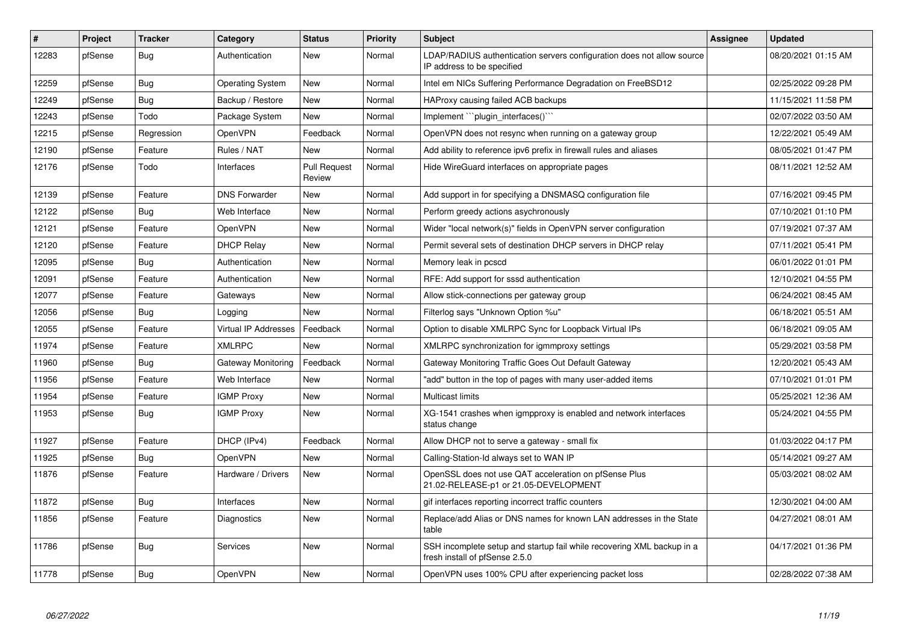| ∦     | <b>Project</b> | <b>Tracker</b> | Category                | <b>Status</b>                 | <b>Priority</b> | <b>Subject</b>                                                                                           | Assignee | <b>Updated</b>      |
|-------|----------------|----------------|-------------------------|-------------------------------|-----------------|----------------------------------------------------------------------------------------------------------|----------|---------------------|
| 12283 | pfSense        | <b>Bug</b>     | Authentication          | New                           | Normal          | LDAP/RADIUS authentication servers configuration does not allow source<br>IP address to be specified     |          | 08/20/2021 01:15 AM |
| 12259 | pfSense        | Bug            | <b>Operating System</b> | New                           | Normal          | Intel em NICs Suffering Performance Degradation on FreeBSD12                                             |          | 02/25/2022 09:28 PM |
| 12249 | pfSense        | Bug            | Backup / Restore        | <b>New</b>                    | Normal          | HAProxy causing failed ACB backups                                                                       |          | 11/15/2021 11:58 PM |
| 12243 | pfSense        | Todo           | Package System          | <b>New</b>                    | Normal          | Implement "plugin interfaces()"                                                                          |          | 02/07/2022 03:50 AM |
| 12215 | pfSense        | Regression     | OpenVPN                 | Feedback                      | Normal          | OpenVPN does not resync when running on a gateway group                                                  |          | 12/22/2021 05:49 AM |
| 12190 | pfSense        | Feature        | Rules / NAT             | New                           | Normal          | Add ability to reference ipv6 prefix in firewall rules and aliases                                       |          | 08/05/2021 01:47 PM |
| 12176 | pfSense        | Todo           | Interfaces              | <b>Pull Request</b><br>Review | Normal          | Hide WireGuard interfaces on appropriate pages                                                           |          | 08/11/2021 12:52 AM |
| 12139 | pfSense        | Feature        | <b>DNS Forwarder</b>    | New                           | Normal          | Add support in for specifying a DNSMASQ configuration file                                               |          | 07/16/2021 09:45 PM |
| 12122 | pfSense        | <b>Bug</b>     | Web Interface           | New                           | Normal          | Perform greedy actions asychronously                                                                     |          | 07/10/2021 01:10 PM |
| 12121 | pfSense        | Feature        | OpenVPN                 | New                           | Normal          | Wider "local network(s)" fields in OpenVPN server configuration                                          |          | 07/19/2021 07:37 AM |
| 12120 | pfSense        | Feature        | <b>DHCP Relay</b>       | New                           | Normal          | Permit several sets of destination DHCP servers in DHCP relay                                            |          | 07/11/2021 05:41 PM |
| 12095 | pfSense        | Bug            | Authentication          | New                           | Normal          | Memory leak in pcscd                                                                                     |          | 06/01/2022 01:01 PM |
| 12091 | pfSense        | Feature        | Authentication          | <b>New</b>                    | Normal          | RFE: Add support for sssd authentication                                                                 |          | 12/10/2021 04:55 PM |
| 12077 | pfSense        | Feature        | Gateways                | New                           | Normal          | Allow stick-connections per gateway group                                                                |          | 06/24/2021 08:45 AM |
| 12056 | pfSense        | <b>Bug</b>     | Logging                 | <b>New</b>                    | Normal          | Filterlog says "Unknown Option %u"                                                                       |          | 06/18/2021 05:51 AM |
| 12055 | pfSense        | Feature        | Virtual IP Addresses    | Feedback                      | Normal          | Option to disable XMLRPC Sync for Loopback Virtual IPs                                                   |          | 06/18/2021 09:05 AM |
| 11974 | pfSense        | Feature        | <b>XMLRPC</b>           | <b>New</b>                    | Normal          | XMLRPC synchronization for igmmproxy settings                                                            |          | 05/29/2021 03:58 PM |
| 11960 | pfSense        | Bug            | Gateway Monitoring      | Feedback                      | Normal          | Gateway Monitoring Traffic Goes Out Default Gateway                                                      |          | 12/20/2021 05:43 AM |
| 11956 | pfSense        | Feature        | Web Interface           | <b>New</b>                    | Normal          | "add" button in the top of pages with many user-added items                                              |          | 07/10/2021 01:01 PM |
| 11954 | pfSense        | Feature        | <b>IGMP Proxy</b>       | New                           | Normal          | Multicast limits                                                                                         |          | 05/25/2021 12:36 AM |
| 11953 | pfSense        | <b>Bug</b>     | <b>IGMP Proxy</b>       | New                           | Normal          | XG-1541 crashes when igmpproxy is enabled and network interfaces<br>status change                        |          | 05/24/2021 04:55 PM |
| 11927 | pfSense        | Feature        | DHCP (IPv4)             | Feedback                      | Normal          | Allow DHCP not to serve a gateway - small fix                                                            |          | 01/03/2022 04:17 PM |
| 11925 | pfSense        | <b>Bug</b>     | OpenVPN                 | New                           | Normal          | Calling-Station-Id always set to WAN IP                                                                  |          | 05/14/2021 09:27 AM |
| 11876 | pfSense        | Feature        | Hardware / Drivers      | New                           | Normal          | OpenSSL does not use QAT acceleration on pfSense Plus<br>21.02-RELEASE-p1 or 21.05-DEVELOPMENT           |          | 05/03/2021 08:02 AM |
| 11872 | pfSense        | Bug            | Interfaces              | <b>New</b>                    | Normal          | gif interfaces reporting incorrect traffic counters                                                      |          | 12/30/2021 04:00 AM |
| 11856 | pfSense        | Feature        | Diagnostics             | New                           | Normal          | Replace/add Alias or DNS names for known LAN addresses in the State<br>table                             |          | 04/27/2021 08:01 AM |
| 11786 | pfSense        | <b>Bug</b>     | Services                | New                           | Normal          | SSH incomplete setup and startup fail while recovering XML backup in a<br>fresh install of pfSense 2.5.0 |          | 04/17/2021 01:36 PM |
| 11778 | pfSense        | <b>Bug</b>     | OpenVPN                 | <b>New</b>                    | Normal          | OpenVPN uses 100% CPU after experiencing packet loss                                                     |          | 02/28/2022 07:38 AM |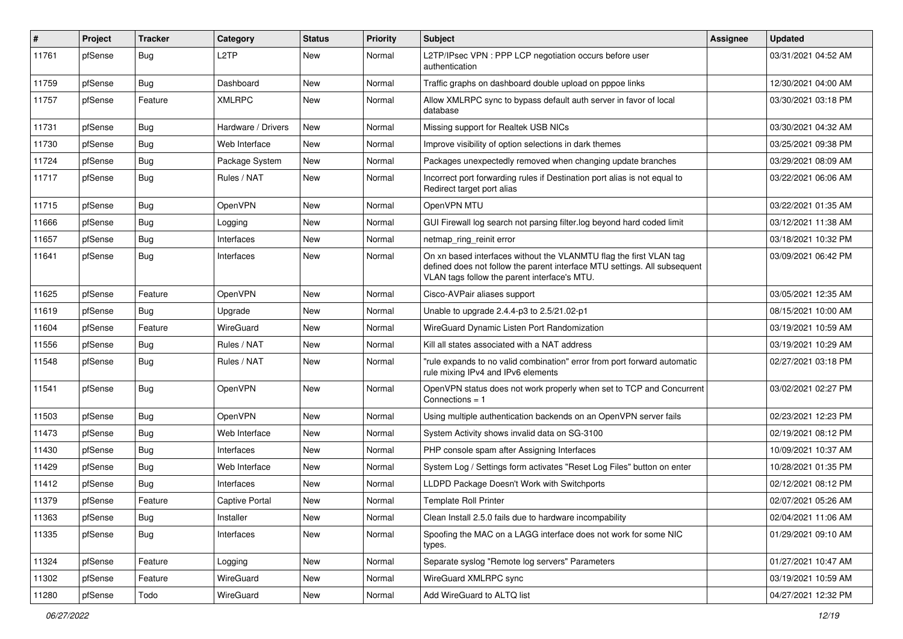| #     | Project | <b>Tracker</b> | Category              | <b>Status</b> | <b>Priority</b> | <b>Subject</b>                                                                                                                                                                                  | <b>Assignee</b> | <b>Updated</b>      |
|-------|---------|----------------|-----------------------|---------------|-----------------|-------------------------------------------------------------------------------------------------------------------------------------------------------------------------------------------------|-----------------|---------------------|
| 11761 | pfSense | <b>Bug</b>     | L2TP                  | New           | Normal          | L2TP/IPsec VPN : PPP LCP negotiation occurs before user<br>authentication                                                                                                                       |                 | 03/31/2021 04:52 AM |
| 11759 | pfSense | Bug            | Dashboard             | New           | Normal          | Traffic graphs on dashboard double upload on pppoe links                                                                                                                                        |                 | 12/30/2021 04:00 AM |
| 11757 | pfSense | Feature        | <b>XMLRPC</b>         | New           | Normal          | Allow XMLRPC sync to bypass default auth server in favor of local<br>database                                                                                                                   |                 | 03/30/2021 03:18 PM |
| 11731 | pfSense | Bug            | Hardware / Drivers    | New           | Normal          | Missing support for Realtek USB NICs                                                                                                                                                            |                 | 03/30/2021 04:32 AM |
| 11730 | pfSense | <b>Bug</b>     | Web Interface         | New           | Normal          | Improve visibility of option selections in dark themes                                                                                                                                          |                 | 03/25/2021 09:38 PM |
| 11724 | pfSense | <b>Bug</b>     | Package System        | New           | Normal          | Packages unexpectedly removed when changing update branches                                                                                                                                     |                 | 03/29/2021 08:09 AM |
| 11717 | pfSense | Bug            | Rules / NAT           | <b>New</b>    | Normal          | Incorrect port forwarding rules if Destination port alias is not equal to<br>Redirect target port alias                                                                                         |                 | 03/22/2021 06:06 AM |
| 11715 | pfSense | Bug            | OpenVPN               | New           | Normal          | OpenVPN MTU                                                                                                                                                                                     |                 | 03/22/2021 01:35 AM |
| 11666 | pfSense | <b>Bug</b>     | Logging               | New           | Normal          | GUI Firewall log search not parsing filter.log beyond hard coded limit                                                                                                                          |                 | 03/12/2021 11:38 AM |
| 11657 | pfSense | <b>Bug</b>     | Interfaces            | <b>New</b>    | Normal          | netmap_ring_reinit error                                                                                                                                                                        |                 | 03/18/2021 10:32 PM |
| 11641 | pfSense | <b>Bug</b>     | Interfaces            | New           | Normal          | On xn based interfaces without the VLANMTU flag the first VLAN tag<br>defined does not follow the parent interface MTU settings. All subsequent<br>VLAN tags follow the parent interface's MTU. |                 | 03/09/2021 06:42 PM |
| 11625 | pfSense | Feature        | OpenVPN               | <b>New</b>    | Normal          | Cisco-AVPair aliases support                                                                                                                                                                    |                 | 03/05/2021 12:35 AM |
| 11619 | pfSense | <b>Bug</b>     | Upgrade               | New           | Normal          | Unable to upgrade 2.4.4-p3 to 2.5/21.02-p1                                                                                                                                                      |                 | 08/15/2021 10:00 AM |
| 11604 | pfSense | Feature        | WireGuard             | New           | Normal          | WireGuard Dynamic Listen Port Randomization                                                                                                                                                     |                 | 03/19/2021 10:59 AM |
| 11556 | pfSense | <b>Bug</b>     | Rules / NAT           | New           | Normal          | Kill all states associated with a NAT address                                                                                                                                                   |                 | 03/19/2021 10:29 AM |
| 11548 | pfSense | <b>Bug</b>     | Rules / NAT           | <b>New</b>    | Normal          | "rule expands to no valid combination" error from port forward automatic<br>rule mixing IPv4 and IPv6 elements                                                                                  |                 | 02/27/2021 03:18 PM |
| 11541 | pfSense | <b>Bug</b>     | OpenVPN               | New           | Normal          | OpenVPN status does not work properly when set to TCP and Concurrent<br>Connections $= 1$                                                                                                       |                 | 03/02/2021 02:27 PM |
| 11503 | pfSense | <b>Bug</b>     | OpenVPN               | <b>New</b>    | Normal          | Using multiple authentication backends on an OpenVPN server fails                                                                                                                               |                 | 02/23/2021 12:23 PM |
| 11473 | pfSense | <b>Bug</b>     | Web Interface         | New           | Normal          | System Activity shows invalid data on SG-3100                                                                                                                                                   |                 | 02/19/2021 08:12 PM |
| 11430 | pfSense | <b>Bug</b>     | Interfaces            | New           | Normal          | PHP console spam after Assigning Interfaces                                                                                                                                                     |                 | 10/09/2021 10:37 AM |
| 11429 | pfSense | <b>Bug</b>     | Web Interface         | New           | Normal          | System Log / Settings form activates "Reset Log Files" button on enter                                                                                                                          |                 | 10/28/2021 01:35 PM |
| 11412 | pfSense | <b>Bug</b>     | Interfaces            | <b>New</b>    | Normal          | LLDPD Package Doesn't Work with Switchports                                                                                                                                                     |                 | 02/12/2021 08:12 PM |
| 11379 | pfSense | Feature        | <b>Captive Portal</b> | New           | Normal          | <b>Template Roll Printer</b>                                                                                                                                                                    |                 | 02/07/2021 05:26 AM |
| 11363 | pfSense | <b>Bug</b>     | Installer             | New           | Normal          | Clean Install 2.5.0 fails due to hardware incompability                                                                                                                                         |                 | 02/04/2021 11:06 AM |
| 11335 | pfSense | <b>Bug</b>     | Interfaces            | New           | Normal          | Spoofing the MAC on a LAGG interface does not work for some NIC<br>types.                                                                                                                       |                 | 01/29/2021 09:10 AM |
| 11324 | pfSense | Feature        | Logging               | <b>New</b>    | Normal          | Separate syslog "Remote log servers" Parameters                                                                                                                                                 |                 | 01/27/2021 10:47 AM |
| 11302 | pfSense | Feature        | WireGuard             | New           | Normal          | WireGuard XMLRPC sync                                                                                                                                                                           |                 | 03/19/2021 10:59 AM |
| 11280 | pfSense | Todo           | WireGuard             | New           | Normal          | Add WireGuard to ALTQ list                                                                                                                                                                      |                 | 04/27/2021 12:32 PM |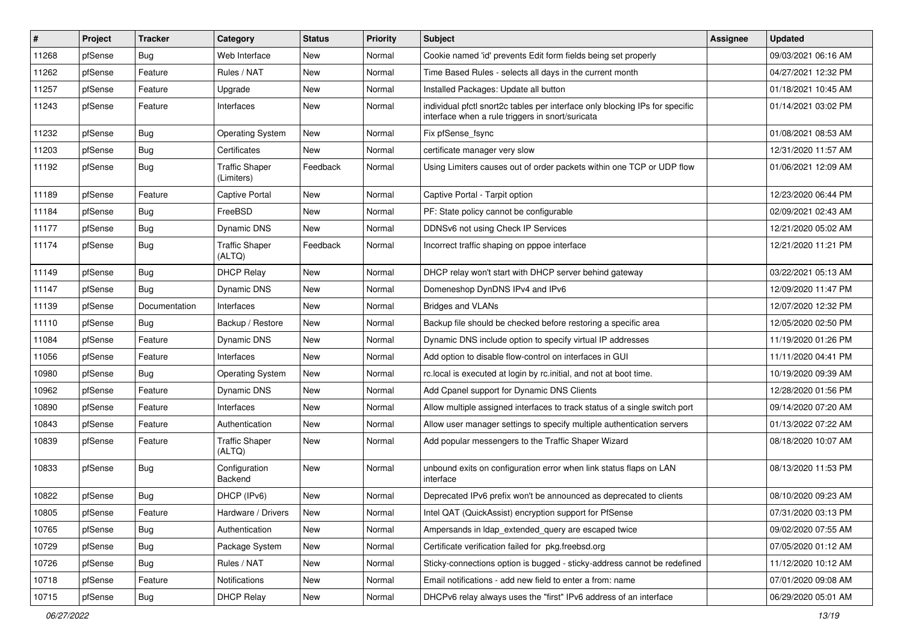| #     | Project | <b>Tracker</b> | Category                            | <b>Status</b> | <b>Priority</b> | <b>Subject</b>                                                                                                                   | <b>Assignee</b> | <b>Updated</b>      |
|-------|---------|----------------|-------------------------------------|---------------|-----------------|----------------------------------------------------------------------------------------------------------------------------------|-----------------|---------------------|
| 11268 | pfSense | <b>Bug</b>     | Web Interface                       | New           | Normal          | Cookie named 'id' prevents Edit form fields being set properly                                                                   |                 | 09/03/2021 06:16 AM |
| 11262 | pfSense | Feature        | Rules / NAT                         | New           | Normal          | Time Based Rules - selects all days in the current month                                                                         |                 | 04/27/2021 12:32 PM |
| 11257 | pfSense | Feature        | Upgrade                             | New           | Normal          | Installed Packages: Update all button                                                                                            |                 | 01/18/2021 10:45 AM |
| 11243 | pfSense | Feature        | Interfaces                          | New           | Normal          | individual pfctl snort2c tables per interface only blocking IPs for specific<br>interface when a rule triggers in snort/suricata |                 | 01/14/2021 03:02 PM |
| 11232 | pfSense | Bug            | <b>Operating System</b>             | New           | Normal          | Fix pfSense_fsync                                                                                                                |                 | 01/08/2021 08:53 AM |
| 11203 | pfSense | <b>Bug</b>     | Certificates                        | New           | Normal          | certificate manager very slow                                                                                                    |                 | 12/31/2020 11:57 AM |
| 11192 | pfSense | <b>Bug</b>     | <b>Traffic Shaper</b><br>(Limiters) | Feedback      | Normal          | Using Limiters causes out of order packets within one TCP or UDP flow                                                            |                 | 01/06/2021 12:09 AM |
| 11189 | pfSense | Feature        | <b>Captive Portal</b>               | New           | Normal          | Captive Portal - Tarpit option                                                                                                   |                 | 12/23/2020 06:44 PM |
| 11184 | pfSense | Bug            | FreeBSD                             | New           | Normal          | PF: State policy cannot be configurable                                                                                          |                 | 02/09/2021 02:43 AM |
| 11177 | pfSense | <b>Bug</b>     | <b>Dynamic DNS</b>                  | New           | Normal          | DDNSv6 not using Check IP Services                                                                                               |                 | 12/21/2020 05:02 AM |
| 11174 | pfSense | <b>Bug</b>     | <b>Traffic Shaper</b><br>(ALTQ)     | Feedback      | Normal          | Incorrect traffic shaping on pppoe interface                                                                                     |                 | 12/21/2020 11:21 PM |
| 11149 | pfSense | Bug            | <b>DHCP Relay</b>                   | New           | Normal          | DHCP relay won't start with DHCP server behind gateway                                                                           |                 | 03/22/2021 05:13 AM |
| 11147 | pfSense | Bug            | <b>Dynamic DNS</b>                  | New           | Normal          | Domeneshop DynDNS IPv4 and IPv6                                                                                                  |                 | 12/09/2020 11:47 PM |
| 11139 | pfSense | Documentation  | Interfaces                          | New           | Normal          | <b>Bridges and VLANs</b>                                                                                                         |                 | 12/07/2020 12:32 PM |
| 11110 | pfSense | <b>Bug</b>     | Backup / Restore                    | New           | Normal          | Backup file should be checked before restoring a specific area                                                                   |                 | 12/05/2020 02:50 PM |
| 11084 | pfSense | Feature        | <b>Dynamic DNS</b>                  | New           | Normal          | Dynamic DNS include option to specify virtual IP addresses                                                                       |                 | 11/19/2020 01:26 PM |
| 11056 | pfSense | Feature        | Interfaces                          | New           | Normal          | Add option to disable flow-control on interfaces in GUI                                                                          |                 | 11/11/2020 04:41 PM |
| 10980 | pfSense | <b>Bug</b>     | <b>Operating System</b>             | New           | Normal          | rc.local is executed at login by rc.initial, and not at boot time.                                                               |                 | 10/19/2020 09:39 AM |
| 10962 | pfSense | Feature        | Dynamic DNS                         | New           | Normal          | Add Cpanel support for Dynamic DNS Clients                                                                                       |                 | 12/28/2020 01:56 PM |
| 10890 | pfSense | Feature        | Interfaces                          | New           | Normal          | Allow multiple assigned interfaces to track status of a single switch port                                                       |                 | 09/14/2020 07:20 AM |
| 10843 | pfSense | Feature        | Authentication                      | New           | Normal          | Allow user manager settings to specify multiple authentication servers                                                           |                 | 01/13/2022 07:22 AM |
| 10839 | pfSense | Feature        | <b>Traffic Shaper</b><br>(ALTQ)     | New           | Normal          | Add popular messengers to the Traffic Shaper Wizard                                                                              |                 | 08/18/2020 10:07 AM |
| 10833 | pfSense | <b>Bug</b>     | Configuration<br>Backend            | New           | Normal          | unbound exits on configuration error when link status flaps on LAN<br>interface                                                  |                 | 08/13/2020 11:53 PM |
| 10822 | pfSense | <b>Bug</b>     | DHCP (IPv6)                         | New           | Normal          | Deprecated IPv6 prefix won't be announced as deprecated to clients                                                               |                 | 08/10/2020 09:23 AM |
| 10805 | pfSense | Feature        | Hardware / Drivers                  | New           | Normal          | Intel QAT (QuickAssist) encryption support for PfSense                                                                           |                 | 07/31/2020 03:13 PM |
| 10765 | pfSense | <b>Bug</b>     | Authentication                      | New           | Normal          | Ampersands in Idap extended query are escaped twice                                                                              |                 | 09/02/2020 07:55 AM |
| 10729 | pfSense | <b>Bug</b>     | Package System                      | New           | Normal          | Certificate verification failed for pkg.freebsd.org                                                                              |                 | 07/05/2020 01:12 AM |
| 10726 | pfSense | <b>Bug</b>     | Rules / NAT                         | New           | Normal          | Sticky-connections option is bugged - sticky-address cannot be redefined                                                         |                 | 11/12/2020 10:12 AM |
| 10718 | pfSense | Feature        | <b>Notifications</b>                | New           | Normal          | Email notifications - add new field to enter a from: name                                                                        |                 | 07/01/2020 09:08 AM |
| 10715 | pfSense | <b>Bug</b>     | <b>DHCP Relay</b>                   | New           | Normal          | DHCPv6 relay always uses the "first" IPv6 address of an interface                                                                |                 | 06/29/2020 05:01 AM |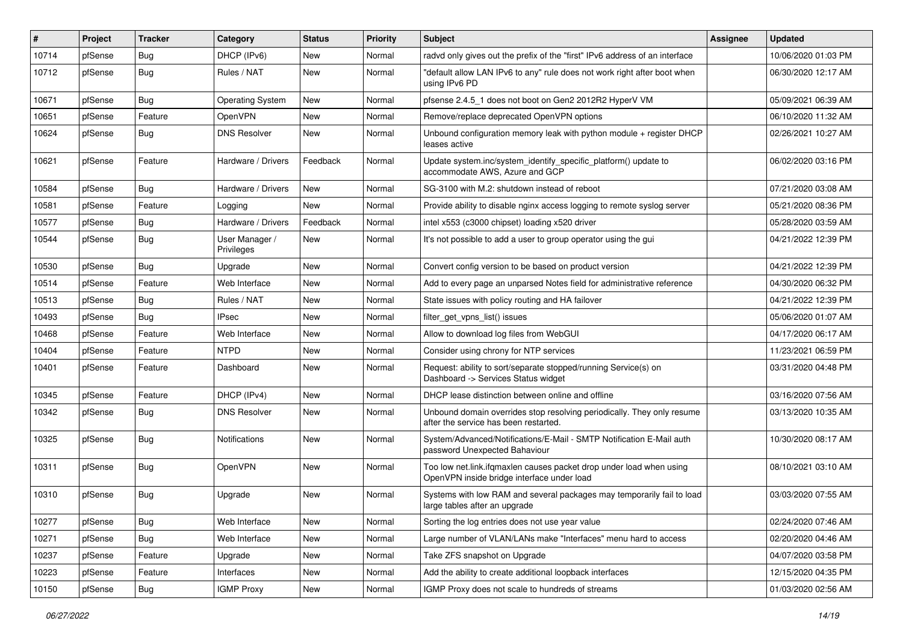| $\#$  | Project | <b>Tracker</b> | Category                     | <b>Status</b> | <b>Priority</b> | <b>Subject</b>                                                                                                    | <b>Assignee</b> | <b>Updated</b>      |
|-------|---------|----------------|------------------------------|---------------|-----------------|-------------------------------------------------------------------------------------------------------------------|-----------------|---------------------|
| 10714 | pfSense | Bug            | DHCP (IPv6)                  | New           | Normal          | radvd only gives out the prefix of the "first" IPv6 address of an interface                                       |                 | 10/06/2020 01:03 PM |
| 10712 | pfSense | <b>Bug</b>     | Rules / NAT                  | <b>New</b>    | Normal          | default allow LAN IPv6 to any" rule does not work right after boot when<br>using IPv6 PD                          |                 | 06/30/2020 12:17 AM |
| 10671 | pfSense | <b>Bug</b>     | <b>Operating System</b>      | New           | Normal          | pfsense 2.4.5 1 does not boot on Gen2 2012R2 HyperV VM                                                            |                 | 05/09/2021 06:39 AM |
| 10651 | pfSense | Feature        | OpenVPN                      | <b>New</b>    | Normal          | Remove/replace deprecated OpenVPN options                                                                         |                 | 06/10/2020 11:32 AM |
| 10624 | pfSense | <b>Bug</b>     | <b>DNS Resolver</b>          | New           | Normal          | Unbound configuration memory leak with python module + register DHCP<br>leases active                             |                 | 02/26/2021 10:27 AM |
| 10621 | pfSense | Feature        | Hardware / Drivers           | Feedback      | Normal          | Update system.inc/system_identify_specific_platform() update to<br>accommodate AWS, Azure and GCP                 |                 | 06/02/2020 03:16 PM |
| 10584 | pfSense | <b>Bug</b>     | Hardware / Drivers           | New           | Normal          | SG-3100 with M.2: shutdown instead of reboot                                                                      |                 | 07/21/2020 03:08 AM |
| 10581 | pfSense | Feature        | Logging                      | New           | Normal          | Provide ability to disable nginx access logging to remote syslog server                                           |                 | 05/21/2020 08:36 PM |
| 10577 | pfSense | <b>Bug</b>     | Hardware / Drivers           | Feedback      | Normal          | intel x553 (c3000 chipset) loading x520 driver                                                                    |                 | 05/28/2020 03:59 AM |
| 10544 | pfSense | <b>Bug</b>     | User Manager /<br>Privileges | New           | Normal          | It's not possible to add a user to group operator using the gui                                                   |                 | 04/21/2022 12:39 PM |
| 10530 | pfSense | Bug            | Upgrade                      | New           | Normal          | Convert config version to be based on product version                                                             |                 | 04/21/2022 12:39 PM |
| 10514 | pfSense | Feature        | Web Interface                | <b>New</b>    | Normal          | Add to every page an unparsed Notes field for administrative reference                                            |                 | 04/30/2020 06:32 PM |
| 10513 | pfSense | Bug            | Rules / NAT                  | New           | Normal          | State issues with policy routing and HA failover                                                                  |                 | 04/21/2022 12:39 PM |
| 10493 | pfSense | Bug            | <b>IPsec</b>                 | <b>New</b>    | Normal          | filter_get_vpns_list() issues                                                                                     |                 | 05/06/2020 01:07 AM |
| 10468 | pfSense | Feature        | Web Interface                | New           | Normal          | Allow to download log files from WebGUI                                                                           |                 | 04/17/2020 06:17 AM |
| 10404 | pfSense | Feature        | <b>NTPD</b>                  | New           | Normal          | Consider using chrony for NTP services                                                                            |                 | 11/23/2021 06:59 PM |
| 10401 | pfSense | Feature        | Dashboard                    | New           | Normal          | Request: ability to sort/separate stopped/running Service(s) on<br>Dashboard -> Services Status widget            |                 | 03/31/2020 04:48 PM |
| 10345 | pfSense | Feature        | DHCP (IPv4)                  | New           | Normal          | DHCP lease distinction between online and offline                                                                 |                 | 03/16/2020 07:56 AM |
| 10342 | pfSense | <b>Bug</b>     | <b>DNS Resolver</b>          | New           | Normal          | Unbound domain overrides stop resolving periodically. They only resume<br>after the service has been restarted.   |                 | 03/13/2020 10:35 AM |
| 10325 | pfSense | Bug            | <b>Notifications</b>         | New           | Normal          | System/Advanced/Notifications/E-Mail - SMTP Notification E-Mail auth<br>password Unexpected Bahaviour             |                 | 10/30/2020 08:17 AM |
| 10311 | pfSense | <b>Bug</b>     | OpenVPN                      | New           | Normal          | Too low net.link.ifgmaxlen causes packet drop under load when using<br>OpenVPN inside bridge interface under load |                 | 08/10/2021 03:10 AM |
| 10310 | pfSense | Bug            | Upgrade                      | New           | Normal          | Systems with low RAM and several packages may temporarily fail to load<br>large tables after an upgrade           |                 | 03/03/2020 07:55 AM |
| 10277 | pfSense | <b>Bug</b>     | Web Interface                | New           | Normal          | Sorting the log entries does not use year value                                                                   |                 | 02/24/2020 07:46 AM |
| 10271 | pfSense | <b>Bug</b>     | Web Interface                | New           | Normal          | Large number of VLAN/LANs make "Interfaces" menu hard to access                                                   |                 | 02/20/2020 04:46 AM |
| 10237 | pfSense | Feature        | Upgrade                      | New           | Normal          | Take ZFS snapshot on Upgrade                                                                                      |                 | 04/07/2020 03:58 PM |
| 10223 | pfSense | Feature        | Interfaces                   | New           | Normal          | Add the ability to create additional loopback interfaces                                                          |                 | 12/15/2020 04:35 PM |
| 10150 | pfSense | Bug            | <b>IGMP Proxy</b>            | New           | Normal          | IGMP Proxy does not scale to hundreds of streams                                                                  |                 | 01/03/2020 02:56 AM |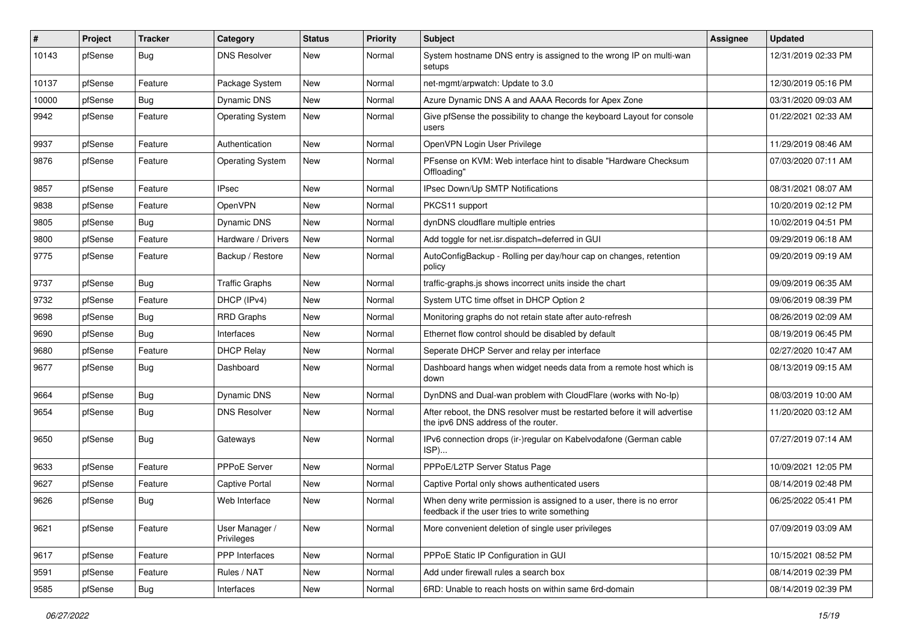| $\sharp$ | Project | <b>Tracker</b> | Category                     | <b>Status</b> | <b>Priority</b> | <b>Subject</b>                                                                                                       | <b>Assignee</b> | <b>Updated</b>      |
|----------|---------|----------------|------------------------------|---------------|-----------------|----------------------------------------------------------------------------------------------------------------------|-----------------|---------------------|
| 10143    | pfSense | Bug            | <b>DNS Resolver</b>          | New           | Normal          | System hostname DNS entry is assigned to the wrong IP on multi-wan<br>setups                                         |                 | 12/31/2019 02:33 PM |
| 10137    | pfSense | Feature        | Package System               | New           | Normal          | net-mgmt/arpwatch: Update to 3.0                                                                                     |                 | 12/30/2019 05:16 PM |
| 10000    | pfSense | Bug            | Dynamic DNS                  | New           | Normal          | Azure Dynamic DNS A and AAAA Records for Apex Zone                                                                   |                 | 03/31/2020 09:03 AM |
| 9942     | pfSense | Feature        | <b>Operating System</b>      | New           | Normal          | Give pfSense the possibility to change the keyboard Layout for console<br>users                                      |                 | 01/22/2021 02:33 AM |
| 9937     | pfSense | Feature        | Authentication               | New           | Normal          | OpenVPN Login User Privilege                                                                                         |                 | 11/29/2019 08:46 AM |
| 9876     | pfSense | Feature        | <b>Operating System</b>      | New           | Normal          | PFsense on KVM: Web interface hint to disable "Hardware Checksum<br>Offloading"                                      |                 | 07/03/2020 07:11 AM |
| 9857     | pfSense | Feature        | <b>IPsec</b>                 | <b>New</b>    | Normal          | IPsec Down/Up SMTP Notifications                                                                                     |                 | 08/31/2021 08:07 AM |
| 9838     | pfSense | Feature        | OpenVPN                      | New           | Normal          | PKCS11 support                                                                                                       |                 | 10/20/2019 02:12 PM |
| 9805     | pfSense | Bug            | Dynamic DNS                  | New           | Normal          | dynDNS cloudflare multiple entries                                                                                   |                 | 10/02/2019 04:51 PM |
| 9800     | pfSense | Feature        | Hardware / Drivers           | New           | Normal          | Add toggle for net.isr.dispatch=deferred in GUI                                                                      |                 | 09/29/2019 06:18 AM |
| 9775     | pfSense | Feature        | Backup / Restore             | New           | Normal          | AutoConfigBackup - Rolling per day/hour cap on changes, retention<br>policy                                          |                 | 09/20/2019 09:19 AM |
| 9737     | pfSense | Bug            | <b>Traffic Graphs</b>        | New           | Normal          | traffic-graphs.js shows incorrect units inside the chart                                                             |                 | 09/09/2019 06:35 AM |
| 9732     | pfSense | Feature        | DHCP (IPv4)                  | New           | Normal          | System UTC time offset in DHCP Option 2                                                                              |                 | 09/06/2019 08:39 PM |
| 9698     | pfSense | <b>Bug</b>     | <b>RRD Graphs</b>            | New           | Normal          | Monitoring graphs do not retain state after auto-refresh                                                             |                 | 08/26/2019 02:09 AM |
| 9690     | pfSense | Bug            | Interfaces                   | New           | Normal          | Ethernet flow control should be disabled by default                                                                  |                 | 08/19/2019 06:45 PM |
| 9680     | pfSense | Feature        | <b>DHCP Relay</b>            | New           | Normal          | Seperate DHCP Server and relay per interface                                                                         |                 | 02/27/2020 10:47 AM |
| 9677     | pfSense | Bug            | Dashboard                    | New           | Normal          | Dashboard hangs when widget needs data from a remote host which is<br>down                                           |                 | 08/13/2019 09:15 AM |
| 9664     | pfSense | Bug            | Dynamic DNS                  | New           | Normal          | DynDNS and Dual-wan problem with CloudFlare (works with No-Ip)                                                       |                 | 08/03/2019 10:00 AM |
| 9654     | pfSense | Bug            | <b>DNS Resolver</b>          | New           | Normal          | After reboot, the DNS resolver must be restarted before it will advertise<br>the ipv6 DNS address of the router.     |                 | 11/20/2020 03:12 AM |
| 9650     | pfSense | <b>Bug</b>     | Gateways                     | New           | Normal          | IPv6 connection drops (ir-)regular on Kabelvodafone (German cable<br>ISP)                                            |                 | 07/27/2019 07:14 AM |
| 9633     | pfSense | Feature        | PPPoE Server                 | New           | Normal          | PPPoE/L2TP Server Status Page                                                                                        |                 | 10/09/2021 12:05 PM |
| 9627     | pfSense | Feature        | <b>Captive Portal</b>        | New           | Normal          | Captive Portal only shows authenticated users                                                                        |                 | 08/14/2019 02:48 PM |
| 9626     | pfSense | <b>Bug</b>     | Web Interface                | New           | Normal          | When deny write permission is assigned to a user, there is no error<br>feedback if the user tries to write something |                 | 06/25/2022 05:41 PM |
| 9621     | pfSense | Feature        | User Manager /<br>Privileges | New           | Normal          | More convenient deletion of single user privileges                                                                   |                 | 07/09/2019 03:09 AM |
| 9617     | pfSense | Feature        | <b>PPP</b> Interfaces        | New           | Normal          | PPPoE Static IP Configuration in GUI                                                                                 |                 | 10/15/2021 08:52 PM |
| 9591     | pfSense | Feature        | Rules / NAT                  | New           | Normal          | Add under firewall rules a search box                                                                                |                 | 08/14/2019 02:39 PM |
| 9585     | pfSense | <b>Bug</b>     | Interfaces                   | New           | Normal          | 6RD: Unable to reach hosts on within same 6rd-domain                                                                 |                 | 08/14/2019 02:39 PM |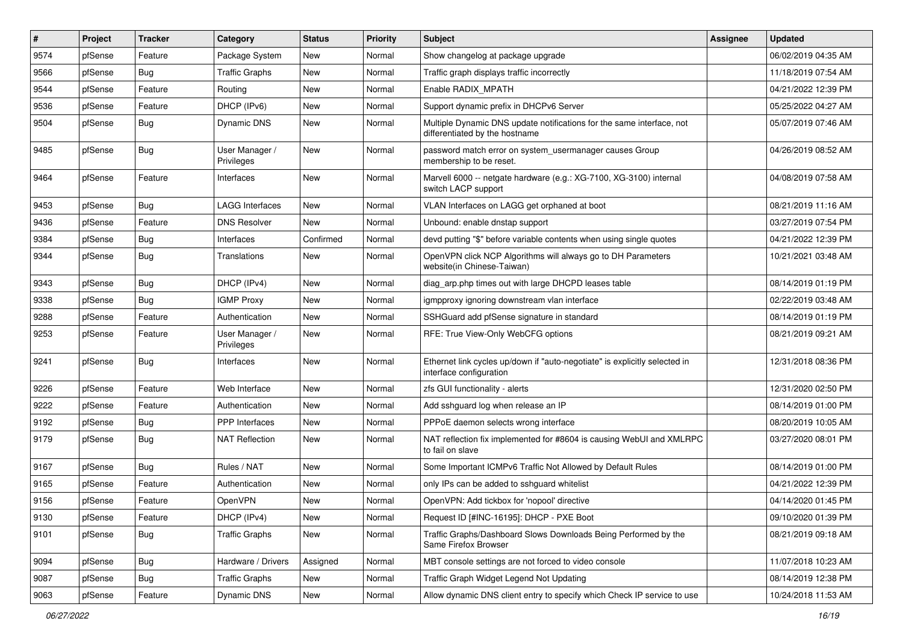| $\pmb{\sharp}$ | Project | <b>Tracker</b> | Category                     | <b>Status</b> | <b>Priority</b> | <b>Subject</b>                                                                                          | Assignee | <b>Updated</b>      |
|----------------|---------|----------------|------------------------------|---------------|-----------------|---------------------------------------------------------------------------------------------------------|----------|---------------------|
| 9574           | pfSense | Feature        | Package System               | New           | Normal          | Show changelog at package upgrade                                                                       |          | 06/02/2019 04:35 AM |
| 9566           | pfSense | <b>Bug</b>     | <b>Traffic Graphs</b>        | New           | Normal          | Traffic graph displays traffic incorrectly                                                              |          | 11/18/2019 07:54 AM |
| 9544           | pfSense | Feature        | Routing                      | New           | Normal          | Enable RADIX_MPATH                                                                                      |          | 04/21/2022 12:39 PM |
| 9536           | pfSense | Feature        | DHCP (IPv6)                  | New           | Normal          | Support dynamic prefix in DHCPv6 Server                                                                 |          | 05/25/2022 04:27 AM |
| 9504           | pfSense | <b>Bug</b>     | <b>Dynamic DNS</b>           | New           | Normal          | Multiple Dynamic DNS update notifications for the same interface, not<br>differentiated by the hostname |          | 05/07/2019 07:46 AM |
| 9485           | pfSense | <b>Bug</b>     | User Manager /<br>Privileges | New           | Normal          | password match error on system_usermanager causes Group<br>membership to be reset.                      |          | 04/26/2019 08:52 AM |
| 9464           | pfSense | Feature        | Interfaces                   | New           | Normal          | Marvell 6000 -- netgate hardware (e.g.: XG-7100, XG-3100) internal<br>switch LACP support               |          | 04/08/2019 07:58 AM |
| 9453           | pfSense | Bug            | <b>LAGG Interfaces</b>       | New           | Normal          | VLAN Interfaces on LAGG get orphaned at boot                                                            |          | 08/21/2019 11:16 AM |
| 9436           | pfSense | Feature        | <b>DNS Resolver</b>          | New           | Normal          | Unbound: enable dnstap support                                                                          |          | 03/27/2019 07:54 PM |
| 9384           | pfSense | Bug            | Interfaces                   | Confirmed     | Normal          | devd putting "\$" before variable contents when using single quotes                                     |          | 04/21/2022 12:39 PM |
| 9344           | pfSense | <b>Bug</b>     | Translations                 | New           | Normal          | OpenVPN click NCP Algorithms will always go to DH Parameters<br>website(in Chinese-Taiwan)              |          | 10/21/2021 03:48 AM |
| 9343           | pfSense | <b>Bug</b>     | DHCP (IPv4)                  | New           | Normal          | diag_arp.php times out with large DHCPD leases table                                                    |          | 08/14/2019 01:19 PM |
| 9338           | pfSense | Bug            | <b>IGMP Proxy</b>            | New           | Normal          | igmpproxy ignoring downstream vlan interface                                                            |          | 02/22/2019 03:48 AM |
| 9288           | pfSense | Feature        | Authentication               | New           | Normal          | SSHGuard add pfSense signature in standard                                                              |          | 08/14/2019 01:19 PM |
| 9253           | pfSense | Feature        | User Manager /<br>Privileges | New           | Normal          | RFE: True View-Only WebCFG options                                                                      |          | 08/21/2019 09:21 AM |
| 9241           | pfSense | Bug            | Interfaces                   | New           | Normal          | Ethernet link cycles up/down if "auto-negotiate" is explicitly selected in<br>interface configuration   |          | 12/31/2018 08:36 PM |
| 9226           | pfSense | Feature        | Web Interface                | <b>New</b>    | Normal          | zfs GUI functionality - alerts                                                                          |          | 12/31/2020 02:50 PM |
| 9222           | pfSense | Feature        | Authentication               | New           | Normal          | Add sshguard log when release an IP                                                                     |          | 08/14/2019 01:00 PM |
| 9192           | pfSense | Bug            | PPP Interfaces               | New           | Normal          | PPPoE daemon selects wrong interface                                                                    |          | 08/20/2019 10:05 AM |
| 9179           | pfSense | <b>Bug</b>     | <b>NAT Reflection</b>        | New           | Normal          | NAT reflection fix implemented for #8604 is causing WebUI and XMLRPC<br>to fail on slave                |          | 03/27/2020 08:01 PM |
| 9167           | pfSense | Bug            | Rules / NAT                  | New           | Normal          | Some Important ICMPv6 Traffic Not Allowed by Default Rules                                              |          | 08/14/2019 01:00 PM |
| 9165           | pfSense | Feature        | Authentication               | New           | Normal          | only IPs can be added to sshguard whitelist                                                             |          | 04/21/2022 12:39 PM |
| 9156           | pfSense | Feature        | OpenVPN                      | New           | Normal          | OpenVPN: Add tickbox for 'nopool' directive                                                             |          | 04/14/2020 01:45 PM |
| 9130           | pfSense | Feature        | DHCP (IPv4)                  | New           | Normal          | Request ID [#INC-16195]: DHCP - PXE Boot                                                                |          | 09/10/2020 01:39 PM |
| 9101           | pfSense | <b>Bug</b>     | <b>Traffic Graphs</b>        | New           | Normal          | Traffic Graphs/Dashboard Slows Downloads Being Performed by the<br>Same Firefox Browser                 |          | 08/21/2019 09:18 AM |
| 9094           | pfSense | <b>Bug</b>     | Hardware / Drivers           | Assigned      | Normal          | MBT console settings are not forced to video console                                                    |          | 11/07/2018 10:23 AM |
| 9087           | pfSense | <b>Bug</b>     | <b>Traffic Graphs</b>        | New           | Normal          | Traffic Graph Widget Legend Not Updating                                                                |          | 08/14/2019 12:38 PM |
| 9063           | pfSense | Feature        | Dynamic DNS                  | New           | Normal          | Allow dynamic DNS client entry to specify which Check IP service to use                                 |          | 10/24/2018 11:53 AM |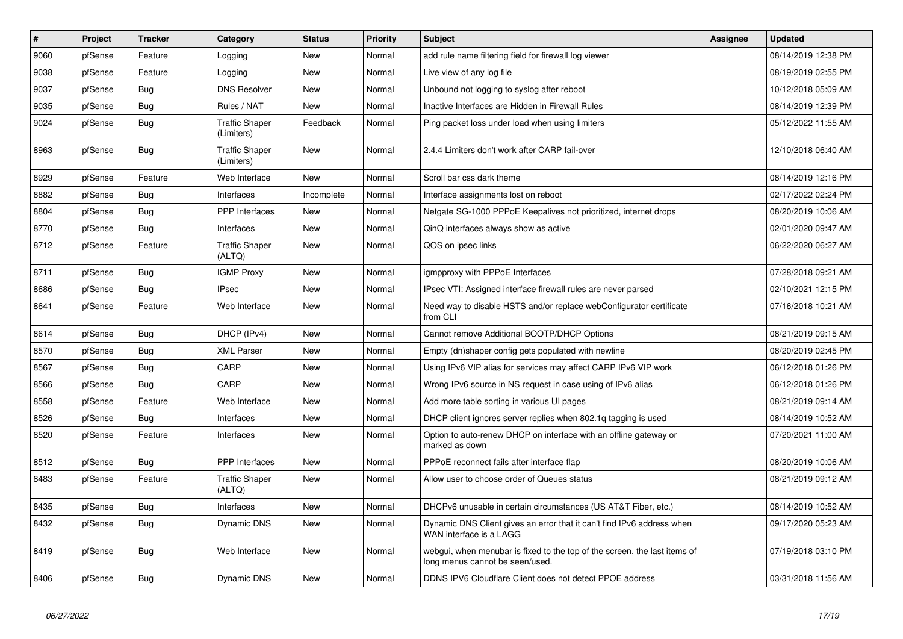| #    | Project | <b>Tracker</b> | Category                            | <b>Status</b> | <b>Priority</b> | <b>Subject</b>                                                                                               | <b>Assignee</b> | <b>Updated</b>      |
|------|---------|----------------|-------------------------------------|---------------|-----------------|--------------------------------------------------------------------------------------------------------------|-----------------|---------------------|
| 9060 | pfSense | Feature        | Logging                             | <b>New</b>    | Normal          | add rule name filtering field for firewall log viewer                                                        |                 | 08/14/2019 12:38 PM |
| 9038 | pfSense | Feature        | Logging                             | <b>New</b>    | Normal          | Live view of any log file                                                                                    |                 | 08/19/2019 02:55 PM |
| 9037 | pfSense | <b>Bug</b>     | <b>DNS Resolver</b>                 | New           | Normal          | Unbound not logging to syslog after reboot                                                                   |                 | 10/12/2018 05:09 AM |
| 9035 | pfSense | Bug            | Rules / NAT                         | <b>New</b>    | Normal          | Inactive Interfaces are Hidden in Firewall Rules                                                             |                 | 08/14/2019 12:39 PM |
| 9024 | pfSense | Bug            | <b>Traffic Shaper</b><br>(Limiters) | Feedback      | Normal          | Ping packet loss under load when using limiters                                                              |                 | 05/12/2022 11:55 AM |
| 8963 | pfSense | <b>Bug</b>     | <b>Traffic Shaper</b><br>(Limiters) | New           | Normal          | 2.4.4 Limiters don't work after CARP fail-over                                                               |                 | 12/10/2018 06:40 AM |
| 8929 | pfSense | Feature        | Web Interface                       | New           | Normal          | Scroll bar css dark theme                                                                                    |                 | 08/14/2019 12:16 PM |
| 8882 | pfSense | Bug            | Interfaces                          | Incomplete    | Normal          | Interface assignments lost on reboot                                                                         |                 | 02/17/2022 02:24 PM |
| 8804 | pfSense | Bug            | <b>PPP</b> Interfaces               | New           | Normal          | Netgate SG-1000 PPPoE Keepalives not prioritized, internet drops                                             |                 | 08/20/2019 10:06 AM |
| 8770 | pfSense | <b>Bug</b>     | Interfaces                          | <b>New</b>    | Normal          | QinQ interfaces always show as active                                                                        |                 | 02/01/2020 09:47 AM |
| 8712 | pfSense | Feature        | <b>Traffic Shaper</b><br>(ALTQ)     | New           | Normal          | QOS on ipsec links                                                                                           |                 | 06/22/2020 06:27 AM |
| 8711 | pfSense | <b>Bug</b>     | <b>IGMP Proxy</b>                   | New           | Normal          | igmpproxy with PPPoE Interfaces                                                                              |                 | 07/28/2018 09:21 AM |
| 8686 | pfSense | <b>Bug</b>     | <b>IPsec</b>                        | New           | Normal          | IPsec VTI: Assigned interface firewall rules are never parsed                                                |                 | 02/10/2021 12:15 PM |
| 8641 | pfSense | Feature        | Web Interface                       | New           | Normal          | Need way to disable HSTS and/or replace webConfigurator certificate<br>from CLI                              |                 | 07/16/2018 10:21 AM |
| 8614 | pfSense | <b>Bug</b>     | DHCP (IPv4)                         | New           | Normal          | Cannot remove Additional BOOTP/DHCP Options                                                                  |                 | 08/21/2019 09:15 AM |
| 8570 | pfSense | Bug            | <b>XML Parser</b>                   | New           | Normal          | Empty (dn)shaper config gets populated with newline                                                          |                 | 08/20/2019 02:45 PM |
| 8567 | pfSense | <b>Bug</b>     | CARP                                | New           | Normal          | Using IPv6 VIP alias for services may affect CARP IPv6 VIP work                                              |                 | 06/12/2018 01:26 PM |
| 8566 | pfSense | <b>Bug</b>     | CARP                                | New           | Normal          | Wrong IPv6 source in NS request in case using of IPv6 alias                                                  |                 | 06/12/2018 01:26 PM |
| 8558 | pfSense | Feature        | Web Interface                       | New           | Normal          | Add more table sorting in various UI pages                                                                   |                 | 08/21/2019 09:14 AM |
| 8526 | pfSense | <b>Bug</b>     | Interfaces                          | New           | Normal          | DHCP client ignores server replies when 802.1q tagging is used                                               |                 | 08/14/2019 10:52 AM |
| 8520 | pfSense | Feature        | Interfaces                          | New           | Normal          | Option to auto-renew DHCP on interface with an offline gateway or<br>marked as down                          |                 | 07/20/2021 11:00 AM |
| 8512 | pfSense | Bug            | PPP Interfaces                      | New           | Normal          | PPPoE reconnect fails after interface flap                                                                   |                 | 08/20/2019 10:06 AM |
| 8483 | pfSense | Feature        | <b>Traffic Shaper</b><br>(ALTQ)     | New           | Normal          | Allow user to choose order of Queues status                                                                  |                 | 08/21/2019 09:12 AM |
| 8435 | pfSense | Bug            | Interfaces                          | New           | Normal          | DHCPv6 unusable in certain circumstances (US AT&T Fiber, etc.)                                               |                 | 08/14/2019 10:52 AM |
| 8432 | pfSense | <b>Bug</b>     | Dynamic DNS                         | New           | Normal          | Dynamic DNS Client gives an error that it can't find IPv6 address when<br>WAN interface is a LAGG            |                 | 09/17/2020 05:23 AM |
| 8419 | pfSense | Bug            | Web Interface                       | New           | Normal          | webgui, when menubar is fixed to the top of the screen, the last items of<br>long menus cannot be seen/used. |                 | 07/19/2018 03:10 PM |
| 8406 | pfSense | Bug            | Dynamic DNS                         | New           | Normal          | DDNS IPV6 Cloudflare Client does not detect PPOE address                                                     |                 | 03/31/2018 11:56 AM |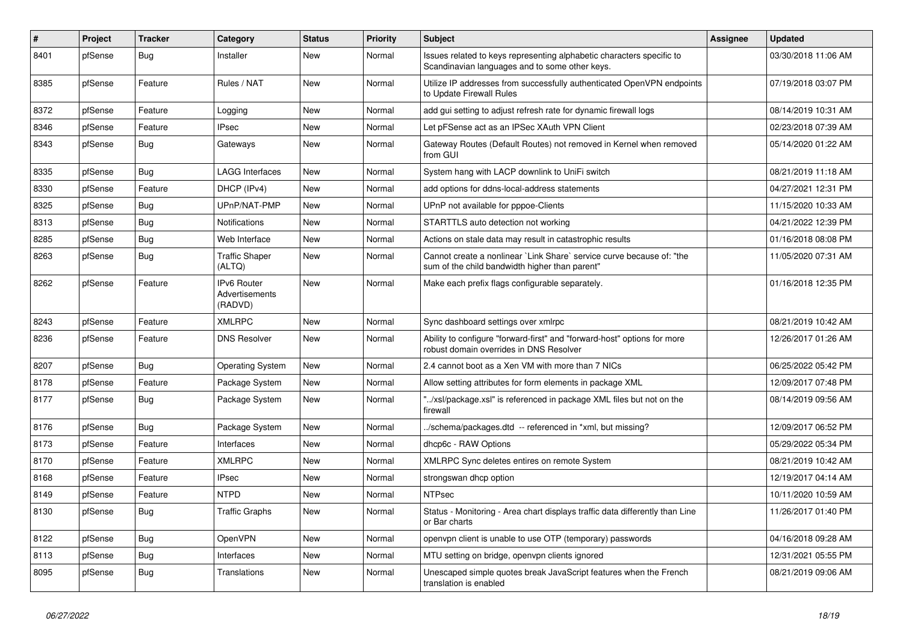| $\sharp$ | Project | <b>Tracker</b> | Category                                        | <b>Status</b> | <b>Priority</b> | <b>Subject</b>                                                                                                          | <b>Assignee</b> | <b>Updated</b>      |
|----------|---------|----------------|-------------------------------------------------|---------------|-----------------|-------------------------------------------------------------------------------------------------------------------------|-----------------|---------------------|
| 8401     | pfSense | <b>Bug</b>     | Installer                                       | <b>New</b>    | Normal          | Issues related to keys representing alphabetic characters specific to<br>Scandinavian languages and to some other keys. |                 | 03/30/2018 11:06 AM |
| 8385     | pfSense | Feature        | Rules / NAT                                     | New           | Normal          | Utilize IP addresses from successfully authenticated OpenVPN endpoints<br>to Update Firewall Rules                      |                 | 07/19/2018 03:07 PM |
| 8372     | pfSense | Feature        | Logging                                         | New           | Normal          | add gui setting to adjust refresh rate for dynamic firewall logs                                                        |                 | 08/14/2019 10:31 AM |
| 8346     | pfSense | Feature        | <b>IPsec</b>                                    | New           | Normal          | Let pFSense act as an IPSec XAuth VPN Client                                                                            |                 | 02/23/2018 07:39 AM |
| 8343     | pfSense | Bug            | Gateways                                        | <b>New</b>    | Normal          | Gateway Routes (Default Routes) not removed in Kernel when removed<br>from GUI                                          |                 | 05/14/2020 01:22 AM |
| 8335     | pfSense | Bug            | <b>LAGG Interfaces</b>                          | New           | Normal          | System hang with LACP downlink to UniFi switch                                                                          |                 | 08/21/2019 11:18 AM |
| 8330     | pfSense | Feature        | DHCP (IPv4)                                     | New           | Normal          | add options for ddns-local-address statements                                                                           |                 | 04/27/2021 12:31 PM |
| 8325     | pfSense | Bug            | UPnP/NAT-PMP                                    | New           | Normal          | UPnP not available for pppoe-Clients                                                                                    |                 | 11/15/2020 10:33 AM |
| 8313     | pfSense | <b>Bug</b>     | <b>Notifications</b>                            | New           | Normal          | STARTTLS auto detection not working                                                                                     |                 | 04/21/2022 12:39 PM |
| 8285     | pfSense | Bug            | Web Interface                                   | New           | Normal          | Actions on stale data may result in catastrophic results                                                                |                 | 01/16/2018 08:08 PM |
| 8263     | pfSense | <b>Bug</b>     | <b>Traffic Shaper</b><br>(ALTQ)                 | New           | Normal          | Cannot create a nonlinear `Link Share` service curve because of: "the<br>sum of the child bandwidth higher than parent" |                 | 11/05/2020 07:31 AM |
| 8262     | pfSense | Feature        | <b>IPv6 Router</b><br>Advertisements<br>(RADVD) | <b>New</b>    | Normal          | Make each prefix flags configurable separately.                                                                         |                 | 01/16/2018 12:35 PM |
| 8243     | pfSense | Feature        | <b>XMLRPC</b>                                   | New           | Normal          | Sync dashboard settings over xmlrpc                                                                                     |                 | 08/21/2019 10:42 AM |
| 8236     | pfSense | Feature        | <b>DNS Resolver</b>                             | New           | Normal          | Ability to configure "forward-first" and "forward-host" options for more<br>robust domain overrides in DNS Resolver     |                 | 12/26/2017 01:26 AM |
| 8207     | pfSense | <b>Bug</b>     | <b>Operating System</b>                         | <b>New</b>    | Normal          | 2.4 cannot boot as a Xen VM with more than 7 NICs                                                                       |                 | 06/25/2022 05:42 PM |
| 8178     | pfSense | Feature        | Package System                                  | New           | Normal          | Allow setting attributes for form elements in package XML                                                               |                 | 12/09/2017 07:48 PM |
| 8177     | pfSense | <b>Bug</b>     | Package System                                  | New           | Normal          | "/xsl/package.xsl" is referenced in package XML files but not on the<br>firewall                                        |                 | 08/14/2019 09:56 AM |
| 8176     | pfSense | Bug            | Package System                                  | <b>New</b>    | Normal          | /schema/packages.dtd -- referenced in *xml, but missing?                                                                |                 | 12/09/2017 06:52 PM |
| 8173     | pfSense | Feature        | Interfaces                                      | <b>New</b>    | Normal          | dhcp6c - RAW Options                                                                                                    |                 | 05/29/2022 05:34 PM |
| 8170     | pfSense | Feature        | <b>XMLRPC</b>                                   | New           | Normal          | XMLRPC Sync deletes entires on remote System                                                                            |                 | 08/21/2019 10:42 AM |
| 8168     | pfSense | Feature        | <b>IPsec</b>                                    | <b>New</b>    | Normal          | strongswan dhcp option                                                                                                  |                 | 12/19/2017 04:14 AM |
| 8149     | pfSense | Feature        | <b>NTPD</b>                                     | New           | Normal          | <b>NTPsec</b>                                                                                                           |                 | 10/11/2020 10:59 AM |
| 8130     | pfSense | <b>Bug</b>     | <b>Traffic Graphs</b>                           | New           | Normal          | Status - Monitoring - Area chart displays traffic data differently than Line<br>or Bar charts                           |                 | 11/26/2017 01:40 PM |
| 8122     | pfSense | <b>Bug</b>     | OpenVPN                                         | <b>New</b>    | Normal          | openvpn client is unable to use OTP (temporary) passwords                                                               |                 | 04/16/2018 09:28 AM |
| 8113     | pfSense | <b>Bug</b>     | Interfaces                                      | New           | Normal          | MTU setting on bridge, openvpn clients ignored                                                                          |                 | 12/31/2021 05:55 PM |
| 8095     | pfSense | <b>Bug</b>     | Translations                                    | <b>New</b>    | Normal          | Unescaped simple quotes break JavaScript features when the French<br>translation is enabled                             |                 | 08/21/2019 09:06 AM |